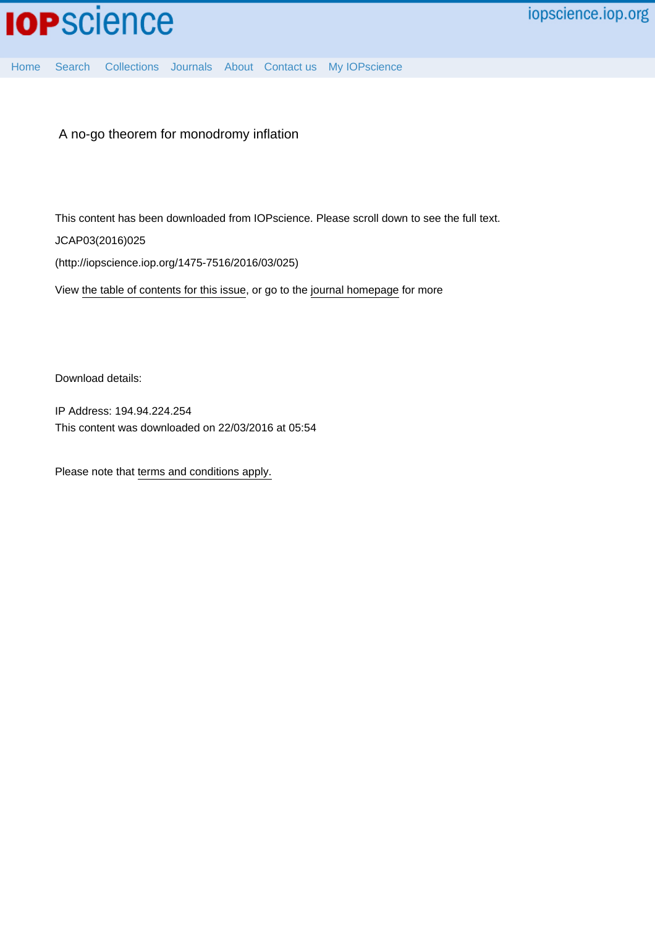

[Home](http://iopscience.iop.org/) [Search](http://iopscience.iop.org/search) [Collections](http://iopscience.iop.org/collections) [Journals](http://iopscience.iop.org/journals) [About](http://iopscience.iop.org/page/aboutioppublishing) [Contact us](http://iopscience.iop.org/contact) [My IOPscience](http://iopscience.iop.org/myiopscience)

A no-go theorem for monodromy inflation

This content has been downloaded from IOPscience. Please scroll down to see the full text.

JCAP03(2016)025

(http://iopscience.iop.org/1475-7516/2016/03/025)

View [the table of contents for this issue](http://iopscience.iop.org/1475-7516/2016/03), or go to the [journal homepage](http://iopscience.iop.org/1475-7516) for more

Download details:

IP Address: 194.94.224.254 This content was downloaded on 22/03/2016 at 05:54

Please note that [terms and conditions apply.](iopscience.iop.org/page/terms)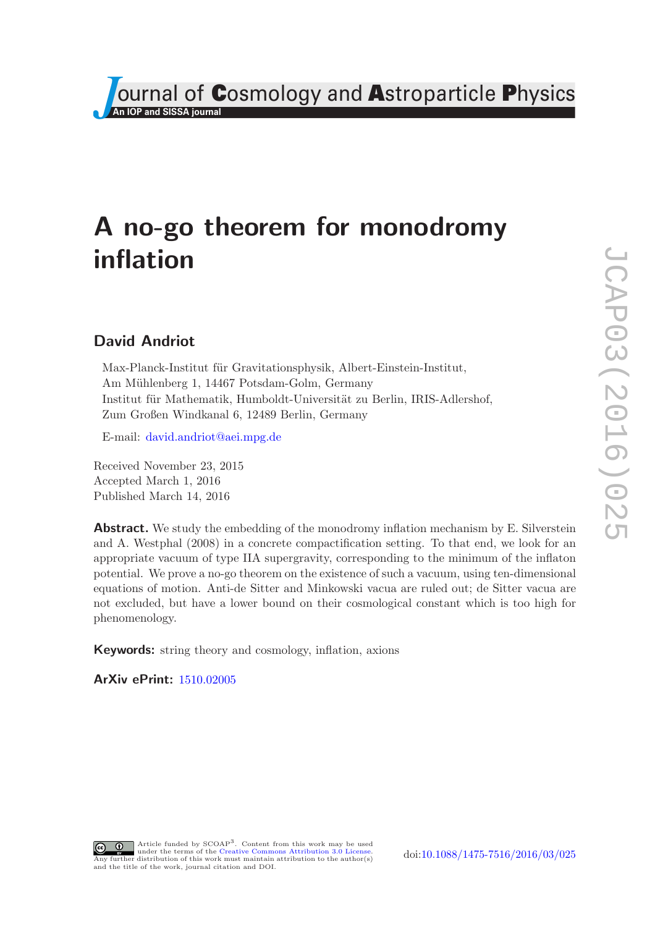

# A no-go theorem for monodromy inflation

# David Andriot

Max-Planck-Institut für Gravitationsphysik, Albert-Einstein-Institut, Am Mühlenberg 1, 14467 Potsdam-Golm, Germany Institut für Mathematik, Humboldt-Universität zu Berlin, IRIS-Adlershof, Zum Großen Windkanal 6, 12489 Berlin, Germany

E-mail: [david.andriot@aei.mpg.de](mailto:david.andriot@aei.mpg.de)

Received November 23, 2015 Accepted March 1, 2016 Published March 14, 2016

**Abstract.** We study the embedding of the monodromy inflation mechanism by E. Silverstein and A. Westphal (2008) in a concrete compactification setting. To that end, we look for an appropriate vacuum of type IIA supergravity, corresponding to the minimum of the inflaton potential. We prove a no-go theorem on the existence of such a vacuum, using ten-dimensional equations of motion. Anti-de Sitter and Minkowski vacua are ruled out; de Sitter vacua are not excluded, but have a lower bound on their cosmological constant which is too high for phenomenology.

Keywords: string theory and cosmology, inflation, axions

ArXiv ePrint: [1510.02005](http://arxiv.org/abs/1510.02005)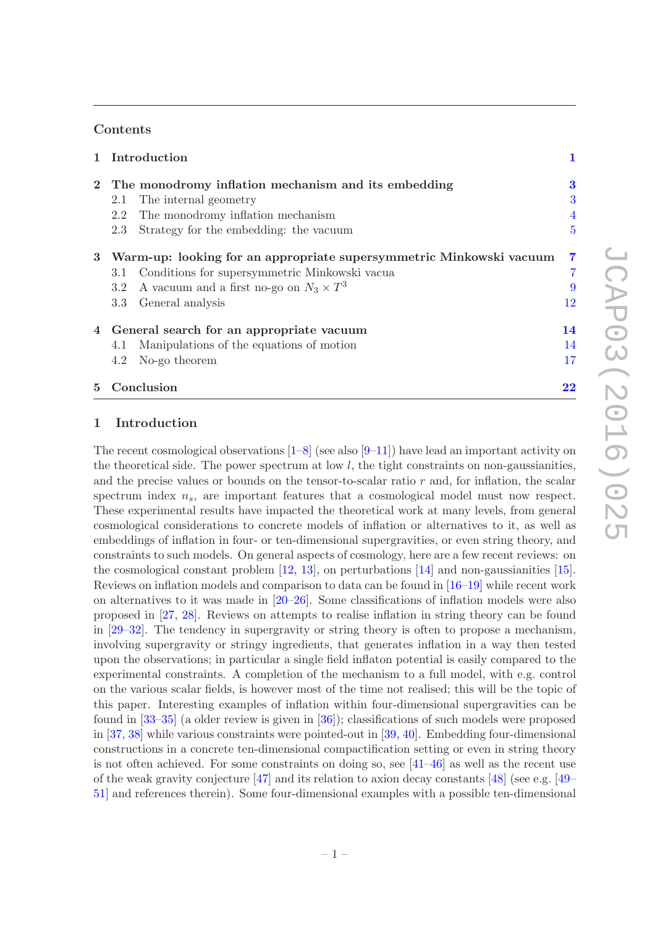## **Contents**

|   | 1 Introduction                                                      |                         |
|---|---------------------------------------------------------------------|-------------------------|
|   | 2 The monodromy inflation mechanism and its embedding               | 3                       |
|   | The internal geometry<br>2.1                                        | 3                       |
|   | The monodromy inflation mechanism<br>2.2                            | 4                       |
|   | Strategy for the embedding: the vacuum<br>2.3                       | $\overline{5}$          |
| 3 | Warm-up: looking for an appropriate supersymmetric Minkowski vacuum | $\overline{\mathbf{7}}$ |
|   | Conditions for supersymmetric Minkowski vacua<br>3.1                |                         |
|   | A vacuum and a first no-go on $N_3 \times T^3$<br>3.2               | 9                       |
|   | 3.3<br>General analysis                                             | 12                      |
| 4 | General search for an appropriate vacuum                            | 14                      |
|   | Manipulations of the equations of motion<br>4.1                     | 14                      |
|   | No-go theorem<br>4.2                                                |                         |
|   |                                                                     |                         |

5 Conclusion [22](#page-23-0)

# <span id="page-2-0"></span>1 Introduction

The recent cosmological observations  $[1-8]$  (see also  $[9-11]$ ) have lead an important activity on the theoretical side. The power spectrum at low  $l$ , the tight constraints on non-gaussianities, and the precise values or bounds on the tensor-to-scalar ratio  $r$  and, for inflation, the scalar spectrum index  $n_s$ , are important features that a cosmological model must now respect. These experimental results have impacted the theoretical work at many levels, from general cosmological considerations to concrete models of inflation or alternatives to it, as well as embeddings of inflation in four- or ten-dimensional supergravities, or even string theory, and constraints to such models. On general aspects of cosmology, here are a few recent reviews: on the cosmological constant problem [\[12,](#page-26-4) [13](#page-26-5)], on perturbations [\[14](#page-26-6)] and non-gaussianities [\[15](#page-26-7)]. Reviews on inflation models and comparison to data can be found in [\[16](#page-26-8)[–19\]](#page-27-0) while recent work on alternatives to it was made in [\[20](#page-27-1)[–26\]](#page-27-2). Some classifications of inflation models were also proposed in [\[27](#page-27-3), [28](#page-27-4)]. Reviews on attempts to realise inflation in string theory can be found in [\[29](#page-27-5)[–32](#page-27-6)]. The tendency in supergravity or string theory is often to propose a mechanism, involving supergravity or stringy ingredients, that generates inflation in a way then tested upon the observations; in particular a single field inflaton potential is easily compared to the experimental constraints. A completion of the mechanism to a full model, with e.g. control on the various scalar fields, is however most of the time not realised; this will be the topic of this paper. Interesting examples of inflation within four-dimensional supergravities can be found in [\[33](#page-27-7)[–35\]](#page-27-8) (a older review is given in [\[36](#page-27-9)]); classifications of such models were proposed in [\[37,](#page-27-10) [38](#page-27-11)] while various constraints were pointed-out in [\[39,](#page-27-12) [40\]](#page-28-0). Embedding four-dimensional constructions in a concrete ten-dimensional compactification setting or even in string theory is not often achieved. For some constraints on doing so, see [\[41](#page-28-1)[–46\]](#page-28-2) as well as the recent use of the weak gravity conjecture [\[47\]](#page-28-3) and its relation to axion decay constants [\[48](#page-28-4)] (see e.g. [\[49–](#page-28-5) [51\]](#page-28-6) and references therein). Some four-dimensional examples with a possible ten-dimensional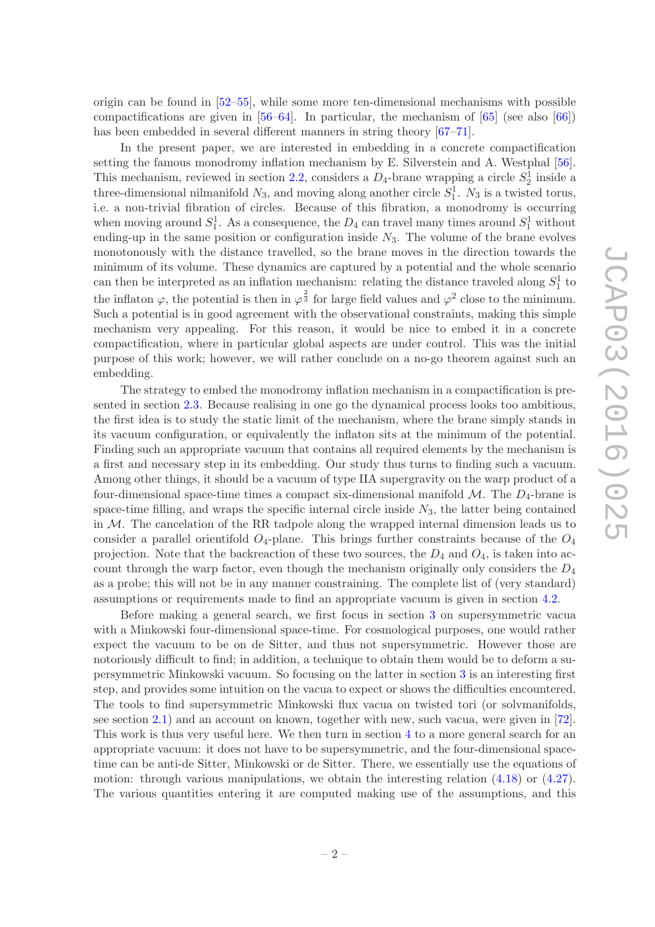origin can be found in  $[52-55]$ , while some more ten-dimensional mechanisms with possible compactifications are given in  $[56–64]$  $[56–64]$ . In particular, the mechanism of  $[65]$  (see also  $[66]$ ) has been embedded in several different manners in string theory [\[67](#page-29-3)[–71](#page-29-4)].

In the present paper, we are interested in embedding in a concrete compactification setting the famous monodromy inflation mechanism by E. Silverstein and A. Westphal [\[56](#page-28-9)]. This mechanism, reviewed in section [2.2,](#page-5-0) considers a  $D_4$ -brane wrapping a circle  $S_2^1$  inside a three-dimensional nilmanifold  $N_3$ , and moving along another circle  $S_1^1$ .  $N_3$  is a twisted torus, i.e. a non-trivial fibration of circles. Because of this fibration, a monodromy is occurring when moving around  $S_1^1$ . As a consequence, the  $D_4$  can travel many times around  $S_1^1$  without ending-up in the same position or configuration inside  $N_3$ . The volume of the brane evolves monotonously with the distance travelled, so the brane moves in the direction towards the minimum of its volume. These dynamics are captured by a potential and the whole scenario can then be interpreted as an inflation mechanism: relating the distance traveled along  $S_1^1$  to the inflaton  $\varphi$ , the potential is then in  $\varphi^{\frac{2}{3}}$  for large field values and  $\varphi^2$  close to the minimum. Such a potential is in good agreement with the observational constraints, making this simple mechanism very appealing. For this reason, it would be nice to embed it in a concrete compactification, where in particular global aspects are under control. This was the initial purpose of this work; however, we will rather conclude on a no-go theorem against such an embedding.

The strategy to embed the monodromy inflation mechanism in a compactification is presented in section [2.3.](#page-6-0) Because realising in one go the dynamical process looks too ambitious, the first idea is to study the static limit of the mechanism, where the brane simply stands in its vacuum configuration, or equivalently the inflaton sits at the minimum of the potential. Finding such an appropriate vacuum that contains all required elements by the mechanism is a first and necessary step in its embedding. Our study thus turns to finding such a vacuum. Among other things, it should be a vacuum of type IIA supergravity on the warp product of a four-dimensional space-time times a compact six-dimensional manifold  $\mathcal{M}$ . The  $D_4$ -brane is space-time filling, and wraps the specific internal circle inside  $N_3$ , the latter being contained in M. The cancelation of the RR tadpole along the wrapped internal dimension leads us to consider a parallel orientifold  $O_4$ -plane. This brings further constraints because of the  $O_4$ projection. Note that the backreaction of these two sources, the  $D_4$  and  $O_4$ , is taken into account through the warp factor, even though the mechanism originally only considers the  $D_4$ as a probe; this will not be in any manner constraining. The complete list of (very standard) assumptions or requirements made to find an appropriate vacuum is given in section [4.2.](#page-18-0)

Before making a general search, we first focus in section [3](#page-8-0) on supersymmetric vacua with a Minkowski four-dimensional space-time. For cosmological purposes, one would rather expect the vacuum to be on de Sitter, and thus not supersymmetric. However those are notoriously difficult to find; in addition, a technique to obtain them would be to deform a supersymmetric Minkowski vacuum. So focusing on the latter in section [3](#page-8-0) is an interesting first step, and provides some intuition on the vacua to expect or shows the difficulties encountered. The tools to find supersymmetric Minkowski flux vacua on twisted tori (or solvmanifolds, see section [2.1\)](#page-4-1) and an account on known, together with new, such vacua, were given in [\[72](#page-29-5)]. This work is thus very useful here. We then turn in section [4](#page-15-0) to a more general search for an appropriate vacuum: it does not have to be supersymmetric, and the four-dimensional spacetime can be anti-de Sitter, Minkowski or de Sitter. There, we essentially use the equations of motion: through various manipulations, we obtain the interesting relation [\(4.18\)](#page-17-0) or [\(4.27\)](#page-20-0). The various quantities entering it are computed making use of the assumptions, and this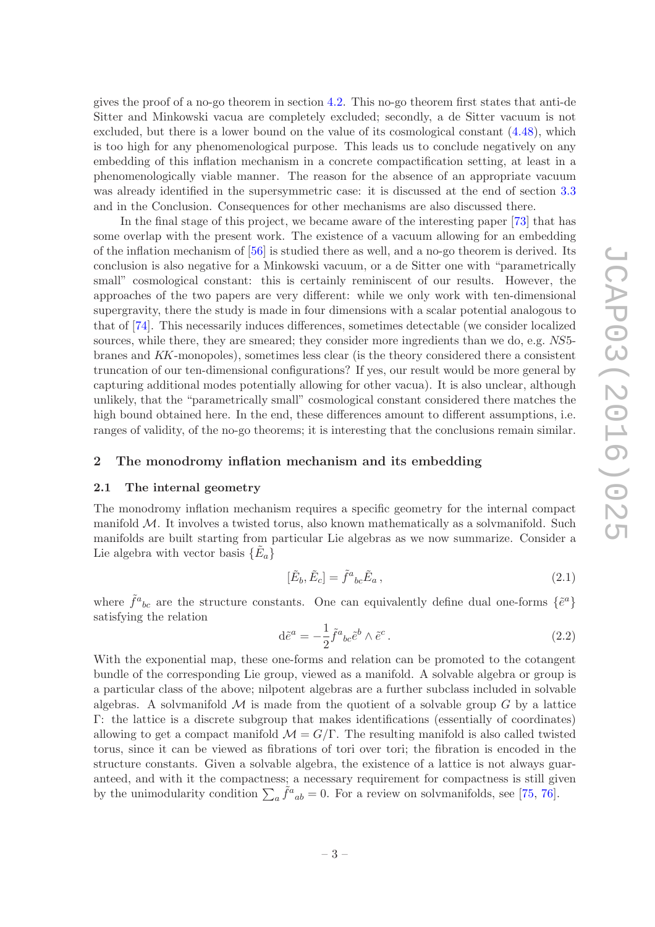gives the proof of a no-go theorem in section [4.2.](#page-18-0) This no-go theorem first states that anti-de Sitter and Minkowski vacua are completely excluded; secondly, a de Sitter vacuum is not excluded, but there is a lower bound on the value of its cosmological constant [\(4.48\)](#page-23-1), which is too high for any phenomenological purpose. This leads us to conclude negatively on any embedding of this inflation mechanism in a concrete compactification setting, at least in a phenomenologically viable manner. The reason for the absence of an appropriate vacuum was already identified in the supersymmetric case: it is discussed at the end of section [3.3](#page-13-0) and in the Conclusion. Consequences for other mechanisms are also discussed there.

In the final stage of this project, we became aware of the interesting paper [\[73\]](#page-29-6) that has some overlap with the present work. The existence of a vacuum allowing for an embedding of the inflation mechanism of [\[56\]](#page-28-9) is studied there as well, and a no-go theorem is derived. Its conclusion is also negative for a Minkowski vacuum, or a de Sitter one with "parametrically small" cosmological constant: this is certainly reminiscent of our results. However, the approaches of the two papers are very different: while we only work with ten-dimensional supergravity, there the study is made in four dimensions with a scalar potential analogous to that of [\[74\]](#page-29-7). This necessarily induces differences, sometimes detectable (we consider localized sources, while there, they are smeared; they consider more ingredients than we do, e.g. NS5branes and KK-monopoles), sometimes less clear (is the theory considered there a consistent truncation of our ten-dimensional configurations? If yes, our result would be more general by capturing additional modes potentially allowing for other vacua). It is also unclear, although unlikely, that the "parametrically small" cosmological constant considered there matches the high bound obtained here. In the end, these differences amount to different assumptions, i.e. ranges of validity, of the no-go theorems; it is interesting that the conclusions remain similar.

#### <span id="page-4-1"></span><span id="page-4-0"></span>2 The monodromy inflation mechanism and its embedding

#### 2.1 The internal geometry

The monodromy inflation mechanism requires a specific geometry for the internal compact manifold  $M$ . It involves a twisted torus, also known mathematically as a solvmanifold. Such manifolds are built starting from particular Lie algebras as we now summarize. Consider a Lie algebra with vector basis  $\{\tilde{E}_a\}$ 

$$
[\tilde{E}_b, \tilde{E}_c] = \tilde{f}^a{}_{bc} \tilde{E}_a \,, \tag{2.1}
$$

where  $\tilde{f}^a{}_{bc}$  are the structure constants. One can equivalently define dual one-forms  $\{\tilde{e}^a\}$ satisfying the relation

$$
d\tilde{e}^a = -\frac{1}{2}\tilde{f}^a{}_{bc}\tilde{e}^b \wedge \tilde{e}^c.
$$
\n(2.2)

With the exponential map, these one-forms and relation can be promoted to the cotangent bundle of the corresponding Lie group, viewed as a manifold. A solvable algebra or group is a particular class of the above; nilpotent algebras are a further subclass included in solvable algebras. A solvmanifold  $\mathcal M$  is made from the quotient of a solvable group  $G$  by a lattice Γ: the lattice is a discrete subgroup that makes identifications (essentially of coordinates) allowing to get a compact manifold  $\mathcal{M} = G/\Gamma$ . The resulting manifold is also called twisted torus, since it can be viewed as fibrations of tori over tori; the fibration is encoded in the structure constants. Given a solvable algebra, the existence of a lattice is not always guaranteed, and with it the compactness; a necessary requirement for compactness is still given by the unimodularity condition  $\sum_a \tilde{f}^a{}_{ab} = 0$ . For a review on solvmanifolds, see [\[75](#page-29-8), [76\]](#page-29-9).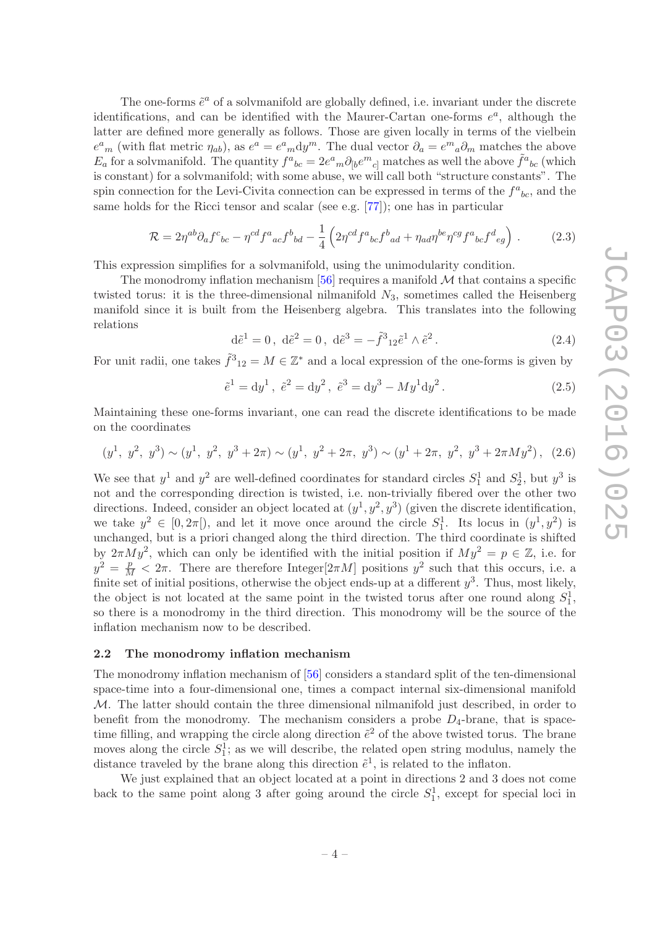The one-forms  $\tilde{e}^a$  of a solvmanifold are globally defined, i.e. invariant under the discrete identifications, and can be identified with the Maurer-Cartan one-forms  $e^a$ , although the latter are defined more generally as follows. Those are given locally in terms of the vielbein  $e^a{}_m$  (with flat metric  $\eta_{ab}$ ), as  $e^a = e^a{}_m dy^m$ . The dual vector  $\partial_a = e^m{}_a \partial_m$  matches the above  $E_a$  for a solvmanifold. The quantity  $f^a{}_{bc} = 2e^a{}_m \partial_{[b} e^m{}_{c]}$  matches as well the above  $\tilde{f}^a{}_{bc}$  (which is constant) for a solvmanifold; with some abuse, we will call both "structure constants". The spin connection for the Levi-Civita connection can be expressed in terms of the  $f^a{}_{bc}$ , and the same holds for the Ricci tensor and scalar (see e.g. [\[77\]](#page-29-10)); one has in particular

<span id="page-5-1"></span>
$$
\mathcal{R} = 2\eta^{ab}\partial_a f^c{}_{bc} - \eta^{cd} f^a{}_{ac} f^b{}_{bd} - \frac{1}{4} \left( 2\eta^{cd} f^a{}_{bc} f^b{}_{ad} + \eta_{ad} \eta^{be} \eta^{cg} f^a{}_{bc} f^d{}_{eg} \right) \,. \tag{2.3}
$$

This expression simplifies for a solvmanifold, using the unimodularity condition.

The monodromy inflation mechanism  $[56]$  requires a manifold  $M$  that contains a specific twisted torus: it is the three-dimensional nilmanifold  $N_3$ , sometimes called the Heisenberg manifold since it is built from the Heisenberg algebra. This translates into the following relations

$$
d\tilde{e}^1 = 0
$$
,  $d\tilde{e}^2 = 0$ ,  $d\tilde{e}^3 = -\tilde{f}^3{}_{12}\tilde{e}^1 \wedge \tilde{e}^2$ . (2.4)

For unit radii, one takes  $\tilde{f}^3_{12} = M \in \mathbb{Z}^*$  and a local expression of the one-forms is given by

$$
\tilde{e}^1 = dy^1, \ \tilde{e}^2 = dy^2, \ \tilde{e}^3 = dy^3 - My^1 dy^2.
$$
\n(2.5)

Maintaining these one-forms invariant, one can read the discrete identifications to be made on the coordinates

$$
(y1, y2, y3) \sim (y1, y2, y3 + 2\pi) \sim (y1, y2 + 2\pi, y3) \sim (y1 + 2\pi, y2, y3 + 2\pi M y2), (2.6)
$$

We see that  $y^1$  and  $y^2$  are well-defined coordinates for standard circles  $S_1^1$  and  $S_2^1$ , but  $y^3$  is not and the corresponding direction is twisted, i.e. non-trivially fibered over the other two directions. Indeed, consider an object located at  $(y^1, y^2, y^3)$  (given the discrete identification, we take  $y^2 \in [0, 2\pi]$ , and let it move once around the circle  $S_1^1$ . Its locus in  $(y^1, y^2)$  is unchanged, but is a priori changed along the third direction. The third coordinate is shifted by  $2\pi M y^2$ , which can only be identified with the initial position if  $My^2 = p \in \mathbb{Z}$ , i.e. for  $y^2 = \frac{p}{M} < 2\pi$ . There are therefore Integer[ $2\pi M$ ] positions  $y^2$  such that this occurs, i.e. a finite set of initial positions, otherwise the object ends-up at a different  $y^3$ . Thus, most likely, the object is not located at the same point in the twisted torus after one round along  $S_1^1$ , so there is a monodromy in the third direction. This monodromy will be the source of the inflation mechanism now to be described.

#### <span id="page-5-0"></span>2.2 The monodromy inflation mechanism

The monodromy inflation mechanism of [\[56\]](#page-28-9) considers a standard split of the ten-dimensional space-time into a four-dimensional one, times a compact internal six-dimensional manifold  $M$ . The latter should contain the three dimensional nilmanifold just described, in order to benefit from the monodromy. The mechanism considers a probe  $D_4$ -brane, that is spacetime filling, and wrapping the circle along direction  $\tilde{e}^2$  of the above twisted torus. The brane moves along the circle  $S_1^1$ ; as we will describe, the related open string modulus, namely the distance traveled by the brane along this direction  $\tilde{e}^1$ , is related to the inflaton.

We just explained that an object located at a point in directions 2 and 3 does not come back to the same point along 3 after going around the circle  $S_1^1$ , except for special loci in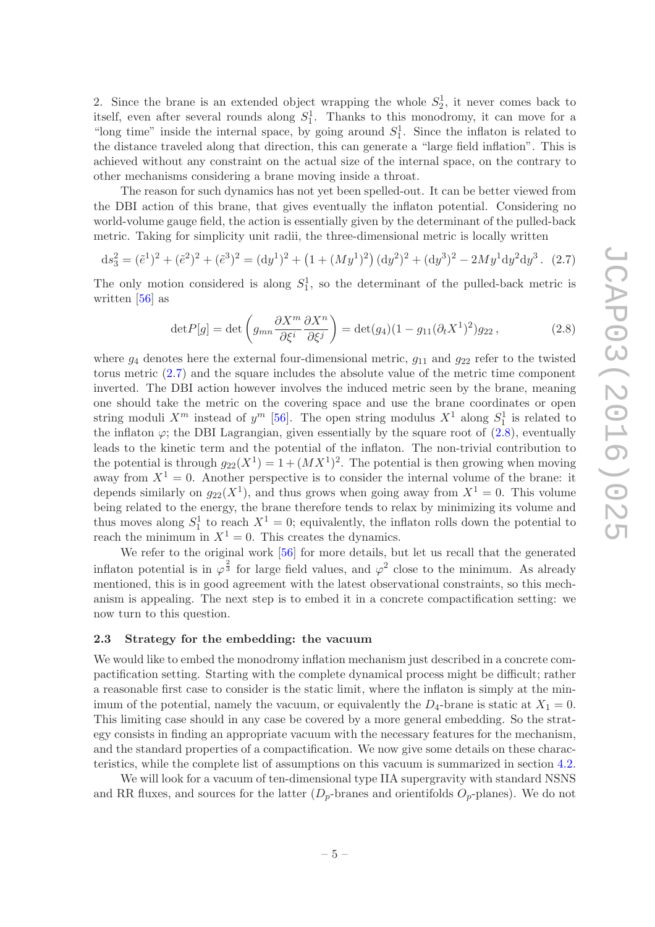2. Since the brane is an extended object wrapping the whole  $S_2^1$ , it never comes back to itself, even after several rounds along  $S_1^1$ . Thanks to this monodromy, it can move for a "long time" inside the internal space, by going around  $S_1^1$ . Since the inflaton is related to the distance traveled along that direction, this can generate a "large field inflation". This is achieved without any constraint on the actual size of the internal space, on the contrary to other mechanisms considering a brane moving inside a throat.

The reason for such dynamics has not yet been spelled-out. It can be better viewed from the DBI action of this brane, that gives eventually the inflaton potential. Considering no world-volume gauge field, the action is essentially given by the determinant of the pulled-back metric. Taking for simplicity unit radii, the three-dimensional metric is locally written

<span id="page-6-1"></span>
$$
ds_3^2 = (\tilde{e}^1)^2 + (\tilde{e}^2)^2 + (\tilde{e}^3)^2 = (dy^1)^2 + (1 + (My^1)^2)(dy^2)^2 + (dy^3)^2 - 2My^1 dy^2 dy^3.
$$
 (2.7)

The only motion considered is along  $S_1^1$ , so the determinant of the pulled-back metric is written [\[56](#page-28-9)] as

<span id="page-6-2"></span>
$$
\det P[g] = \det \left( g_{mn} \frac{\partial X^m}{\partial \xi^i} \frac{\partial X^n}{\partial \xi^j} \right) = \det(g_4)(1 - g_{11}(\partial_t X^1)^2) g_{22}, \tag{2.8}
$$

where  $g_4$  denotes here the external four-dimensional metric,  $g_{11}$  and  $g_{22}$  refer to the twisted torus metric [\(2.7\)](#page-6-1) and the square includes the absolute value of the metric time component inverted. The DBI action however involves the induced metric seen by the brane, meaning one should take the metric on the covering space and use the brane coordinates or open string moduli  $X^m$  instead of  $y^m$  [\[56\]](#page-28-9). The open string modulus  $X^1$  along  $S_1^1$  is related to the inflaton  $\varphi$ ; the DBI Lagrangian, given essentially by the square root of  $(2.8)$ , eventually leads to the kinetic term and the potential of the inflaton. The non-trivial contribution to the potential is through  $g_{22}(X^1) = 1 + (MX^1)^2$ . The potential is then growing when moving away from  $X^1 = 0$ . Another perspective is to consider the internal volume of the brane: it depends similarly on  $g_{22}(X^1)$ , and thus grows when going away from  $X^1 = 0$ . This volume being related to the energy, the brane therefore tends to relax by minimizing its volume and thus moves along  $S_1^1$  to reach  $X^1 = 0$ ; equivalently, the inflaton rolls down the potential to reach the minimum in  $X^1 = 0$ . This creates the dynamics.

We refer to the original work [\[56](#page-28-9)] for more details, but let us recall that the generated inflaton potential is in  $\varphi^{\frac{2}{3}}$  for large field values, and  $\varphi^2$  close to the minimum. As already mentioned, this is in good agreement with the latest observational constraints, so this mechanism is appealing. The next step is to embed it in a concrete compactification setting: we now turn to this question.

#### <span id="page-6-0"></span>2.3 Strategy for the embedding: the vacuum

We would like to embed the monodromy inflation mechanism just described in a concrete compactification setting. Starting with the complete dynamical process might be difficult; rather a reasonable first case to consider is the static limit, where the inflaton is simply at the minimum of the potential, namely the vacuum, or equivalently the  $D_4$ -brane is static at  $X_1 = 0$ . This limiting case should in any case be covered by a more general embedding. So the strategy consists in finding an appropriate vacuum with the necessary features for the mechanism, and the standard properties of a compactification. We now give some details on these characteristics, while the complete list of assumptions on this vacuum is summarized in section [4.2.](#page-18-0)

We will look for a vacuum of ten-dimensional type IIA supergravity with standard NSNS and RR fluxes, and sources for the latter  $(D_p$ -branes and orientifolds  $O_p$ -planes). We do not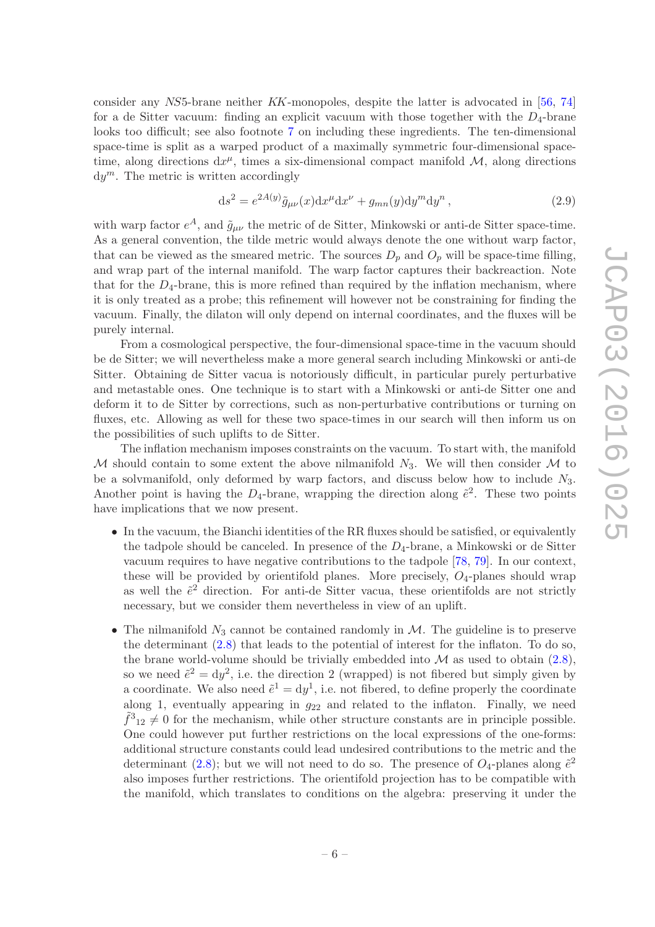consider any NS5-brane neither KK-monopoles, despite the latter is advocated in [\[56,](#page-28-9) [74](#page-29-7)] for a de Sitter vacuum: finding an explicit vacuum with those together with the  $D_4$ -brane looks too difficult; see also footnote [7](#page-18-1) on including these ingredients. The ten-dimensional space-time is split as a warped product of a maximally symmetric four-dimensional spacetime, along directions  $dx^{\mu}$ , times a six-dimensional compact manifold  $M$ , along directions  $dy^m$ . The metric is written accordingly

<span id="page-7-0"></span>
$$
ds2 = e2A(y) \tilde{g}_{\mu\nu}(x) dx\mu dx\nu + g_{mn}(y) dym dyn,
$$
\n(2.9)

with warp factor  $e^A$ , and  $\tilde{g}_{\mu\nu}$  the metric of de Sitter, Minkowski or anti-de Sitter space-time. As a general convention, the tilde metric would always denote the one without warp factor, that can be viewed as the smeared metric. The sources  $D_p$  and  $O_p$  will be space-time filling, and wrap part of the internal manifold. The warp factor captures their backreaction. Note that for the  $D_4$ -brane, this is more refined than required by the inflation mechanism, where it is only treated as a probe; this refinement will however not be constraining for finding the vacuum. Finally, the dilaton will only depend on internal coordinates, and the fluxes will be purely internal.

From a cosmological perspective, the four-dimensional space-time in the vacuum should be de Sitter; we will nevertheless make a more general search including Minkowski or anti-de Sitter. Obtaining de Sitter vacua is notoriously difficult, in particular purely perturbative and metastable ones. One technique is to start with a Minkowski or anti-de Sitter one and deform it to de Sitter by corrections, such as non-perturbative contributions or turning on fluxes, etc. Allowing as well for these two space-times in our search will then inform us on the possibilities of such uplifts to de Sitter.

The inflation mechanism imposes constraints on the vacuum. To start with, the manifold M should contain to some extent the above nilmanifold  $N_3$ . We will then consider M to be a solvmanifold, only deformed by warp factors, and discuss below how to include  $N_3$ . Another point is having the  $D_4$ -brane, wrapping the direction along  $\tilde{e}^2$ . These two points have implications that we now present.

- In the vacuum, the Bianchi identities of the RR fluxes should be satisfied, or equivalently the tadpole should be canceled. In presence of the  $D_4$ -brane, a Minkowski or de Sitter vacuum requires to have negative contributions to the tadpole [\[78](#page-29-11), [79\]](#page-29-12). In our context, these will be provided by orientifold planes. More precisely,  $O_4$ -planes should wrap as well the  $\tilde{e}^2$  direction. For anti-de Sitter vacua, these orientifolds are not strictly necessary, but we consider them nevertheless in view of an uplift.
- The nilmanifold  $N_3$  cannot be contained randomly in  $M$ . The guideline is to preserve the determinant [\(2.8\)](#page-6-2) that leads to the potential of interest for the inflaton. To do so, the brane world-volume should be trivially embedded into  $\mathcal M$  as used to obtain  $(2.8)$ , so we need  $\tilde{e}^2 = dy^2$ , i.e. the direction 2 (wrapped) is not fibered but simply given by a coordinate. We also need  $\tilde{e}^1 = dy^1$ , i.e. not fibered, to define properly the coordinate along 1, eventually appearing in  $g_{22}$  and related to the inflaton. Finally, we need  $\tilde{f}^3{}_{12} \neq 0$  for the mechanism, while other structure constants are in principle possible. One could however put further restrictions on the local expressions of the one-forms: additional structure constants could lead undesired contributions to the metric and the determinant [\(2.8\)](#page-6-2); but we will not need to do so. The presence of  $O_4$ -planes along  $\tilde{e}^2$ also imposes further restrictions. The orientifold projection has to be compatible with the manifold, which translates to conditions on the algebra: preserving it under the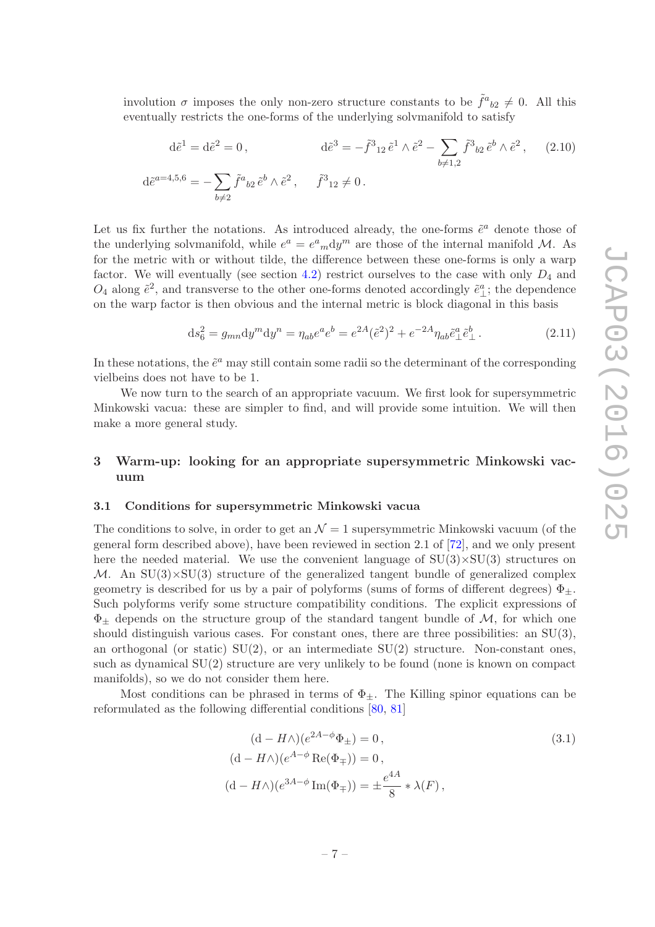involution  $\sigma$  imposes the only non-zero structure constants to be  $\tilde{f}^a{}_{b2} \neq 0$ . All this eventually restricts the one-forms of the underlying solvmanifold to satisfy

<span id="page-8-3"></span>
$$
d\tilde{e}^{1} = d\tilde{e}^{2} = 0, \qquad d\tilde{e}^{3} = -\tilde{f}^{3}{}_{12}\tilde{e}^{1} \wedge \tilde{e}^{2} - \sum_{b \neq 1,2} \tilde{f}^{3}{}_{b2}\tilde{e}^{b} \wedge \tilde{e}^{2}, \qquad (2.10)
$$
  

$$
d\tilde{e}^{a=4,5,6} = -\sum_{b \neq 2} \tilde{f}^{a}{}_{b2}\tilde{e}^{b} \wedge \tilde{e}^{2}, \qquad \tilde{f}^{3}{}_{12} \neq 0.
$$

Let us fix further the notations. As introduced already, the one-forms  $\tilde{e}^a$  denote those of the underlying solvmanifold, while  $e^a = e^a{}_m dy^m$  are those of the internal manifold M. As for the metric with or without tilde, the difference between these one-forms is only a warp factor. We will eventually (see section [4.2\)](#page-18-0) restrict ourselves to the case with only  $D_4$  and  $O_4$  along  $\tilde{e}^2$ , and transverse to the other one-forms denoted accordingly  $\tilde{e}^a_\perp$ ; the dependence on the warp factor is then obvious and the internal metric is block diagonal in this basis

<span id="page-8-4"></span>
$$
ds_6^2 = g_{mn} dy^m dy^n = \eta_{ab} e^a e^b = e^{2A} (\tilde{e}^2)^2 + e^{-2A} \eta_{ab} \tilde{e}^a_\perp \tilde{e}^b_\perp.
$$
 (2.11)

In these notations, the  $\tilde{e}^a$  may still contain some radii so the determinant of the corresponding vielbeins does not have to be 1.

We now turn to the search of an appropriate vacuum. We first look for supersymmetric Minkowski vacua: these are simpler to find, and will provide some intuition. We will then make a more general study.

## <span id="page-8-0"></span>3 Warm-up: looking for an appropriate supersymmetric Minkowski vacuum

#### <span id="page-8-1"></span>3.1 Conditions for supersymmetric Minkowski vacua

The conditions to solve, in order to get an  $\mathcal{N}=1$  supersymmetric Minkowski vacuum (of the general form described above), have been reviewed in section 2.1 of [\[72\]](#page-29-5), and we only present here the needed material. We use the convenient language of  $SU(3) \times SU(3)$  structures on M. An  $SU(3) \times SU(3)$  structure of the generalized tangent bundle of generalized complex geometry is described for us by a pair of polyforms (sums of forms of different degrees)  $\Phi_{+}$ . Such polyforms verify some structure compatibility conditions. The explicit expressions of  $\Phi_{\pm}$  depends on the structure group of the standard tangent bundle of  $M$ , for which one should distinguish various cases. For constant ones, there are three possibilities: an SU(3), an orthogonal (or static)  $SU(2)$ , or an intermediate  $SU(2)$  structure. Non-constant ones, such as dynamical SU(2) structure are very unlikely to be found (none is known on compact manifolds), so we do not consider them here.

Most conditions can be phrased in terms of  $\Phi_{+}$ . The Killing spinor equations can be reformulated as the following differential conditions [\[80](#page-29-13), [81\]](#page-29-14)

<span id="page-8-2"></span>
$$
(d - H\wedge)(e^{2A - \phi}\Phi_{\pm}) = 0,
$$
  
\n
$$
(d - H\wedge)(e^{A - \phi}\operatorname{Re}(\Phi_{\mp})) = 0,
$$
  
\n
$$
(d - H\wedge)(e^{3A - \phi}\operatorname{Im}(\Phi_{\mp})) = \pm \frac{e^{4A}}{8} * \lambda(F),
$$
\n(3.1)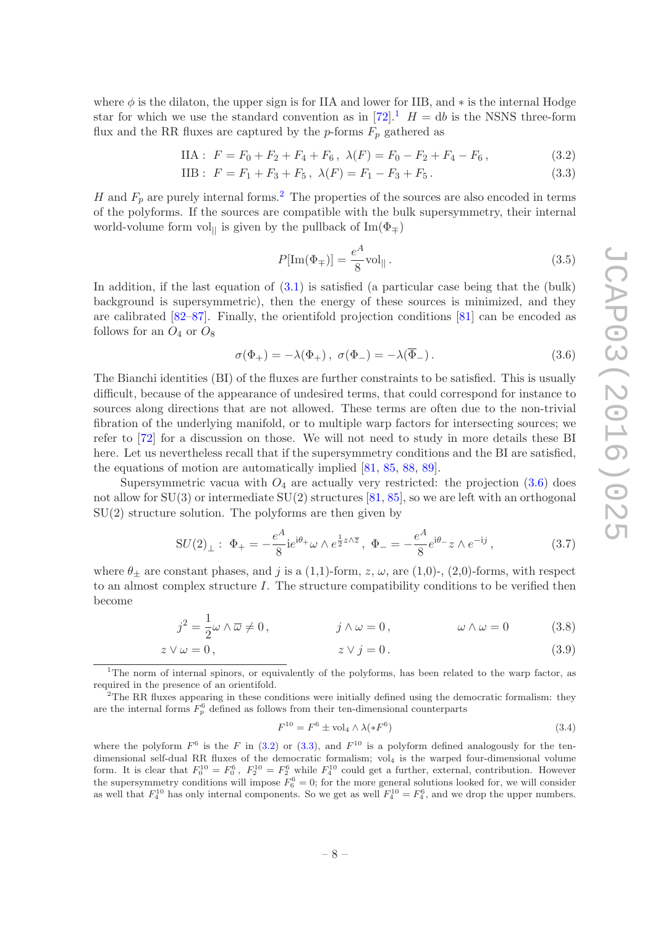where  $\phi$  is the dilaton, the upper sign is for IIA and lower for IIB, and  $*$  is the internal Hodge star for which we use the standard convention as in [\[72\]](#page-29-5).<sup>[1](#page-9-0)</sup>  $H = db$  is the NSNS three-form flux and the RR fluxes are captured by the  $p$ -forms  $F_p$  gathered as

$$
\text{IIA}: \ F = F_0 + F_2 + F_4 + F_6, \ \lambda(F) = F_0 - F_2 + F_4 - F_6 \,, \tag{3.2}
$$

IIB: 
$$
F = F_1 + F_3 + F_5
$$
,  $\lambda(F) = F_1 - F_3 + F_5$ . (3.3)

H and  $F_p$  are purely internal forms.<sup>[2](#page-9-1)</sup> The properties of the sources are also encoded in terms of the polyforms. If the sources are compatible with the bulk supersymmetry, their internal world-volume form vol<sub> $\parallel$ </sub> is given by the pullback of Im( $\Phi$ <sub>∓</sub>)

<span id="page-9-5"></span><span id="page-9-4"></span><span id="page-9-3"></span>
$$
P[\text{Im}(\Phi_{\mp})] = \frac{e^A}{8} \text{vol}_{\parallel}.
$$
\n(3.5)

In addition, if the last equation of  $(3.1)$  is satisfied (a particular case being that the (bulk) background is supersymmetric), then the energy of these sources is minimized, and they are calibrated [\[82](#page-30-0)[–87](#page-30-1)]. Finally, the orientifold projection conditions [\[81](#page-29-14)] can be encoded as follows for an  $O_4$  or  $O_8$ 

<span id="page-9-2"></span>
$$
\sigma(\Phi_+) = -\lambda(\Phi_+), \quad \sigma(\Phi_-) = -\lambda(\overline{\Phi}_-). \tag{3.6}
$$

The Bianchi identities (BI) of the fluxes are further constraints to be satisfied. This is usually difficult, because of the appearance of undesired terms, that could correspond for instance to sources along directions that are not allowed. These terms are often due to the non-trivial fibration of the underlying manifold, or to multiple warp factors for intersecting sources; we refer to [\[72\]](#page-29-5) for a discussion on those. We will not need to study in more details these BI here. Let us nevertheless recall that if the supersymmetry conditions and the BI are satisfied, the equations of motion are automatically implied [\[81,](#page-29-14) [85](#page-30-2), [88,](#page-30-3) [89](#page-30-4)].

Supersymmetric vacua with  $O_4$  are actually very restricted: the projection  $(3.6)$  does not allow for  $SU(3)$  or intermediate  $SU(2)$  structures [\[81](#page-29-14), [85\]](#page-30-2), so we are left with an orthogonal  $SU(2)$  structure solution. The polyforms are then given by

$$
SU(2)_{\perp}: \ \Phi_{+} = -\frac{e^{A}}{8}i e^{i\theta_{+}} \omega \wedge e^{\frac{1}{2}z \wedge \overline{z}}, \ \Phi_{-} = -\frac{e^{A}}{8} e^{i\theta_{-}} z \wedge e^{-ij}, \tag{3.7}
$$

where  $\theta_{\pm}$  are constant phases, and j is a (1,1)-form, z,  $\omega$ , are (1,0)-, (2,0)-forms, with respect to an almost complex structure  $I$ . The structure compatibility conditions to be verified then become

$$
j^2 = \frac{1}{2}\omega \wedge \overline{\omega} \neq 0, \qquad j \wedge \omega = 0, \qquad \omega \wedge \omega = 0 \qquad (3.8)
$$

$$
z \vee \omega = 0, \qquad z \vee j = 0. \tag{3.9}
$$

<span id="page-9-1"></span><sup>2</sup>The RR fluxes appearing in these conditions were initially defined using the democratic formalism: they are the internal forms  $F_p^6$  defined as follows from their ten-dimensional counterparts

<span id="page-9-8"></span><span id="page-9-7"></span><span id="page-9-6"></span>
$$
F^{10} = F^6 \pm \text{vol}_4 \wedge \lambda (*F^6)
$$
 (3.4)

where the polyform  $F^6$  is the F in [\(3.2\)](#page-9-3) or [\(3.3\)](#page-9-4), and  $F^{10}$  is a polyform defined analogously for the tendimensional self-dual RR fluxes of the democratic formalism; vol<sup>4</sup> is the warped four-dimensional volume form. It is clear that  $F_0^{10} = F_0^6$ ,  $F_2^{10} = F_2^6$  while  $F_4^{10}$  could get a further, external, contribution. However the supersymmetry conditions will impose  $F_6^6 = 0$ ; for the more general solutions looked for, we will consider as well that  $F_4^{10}$  has only internal components. So we get as well  $F_4^{10} = F_4^6$ , and we drop the upper numbers.

<span id="page-9-0"></span><sup>&</sup>lt;sup>1</sup>The norm of internal spinors, or equivalently of the polyforms, has been related to the warp factor, as required in the presence of an orientifold.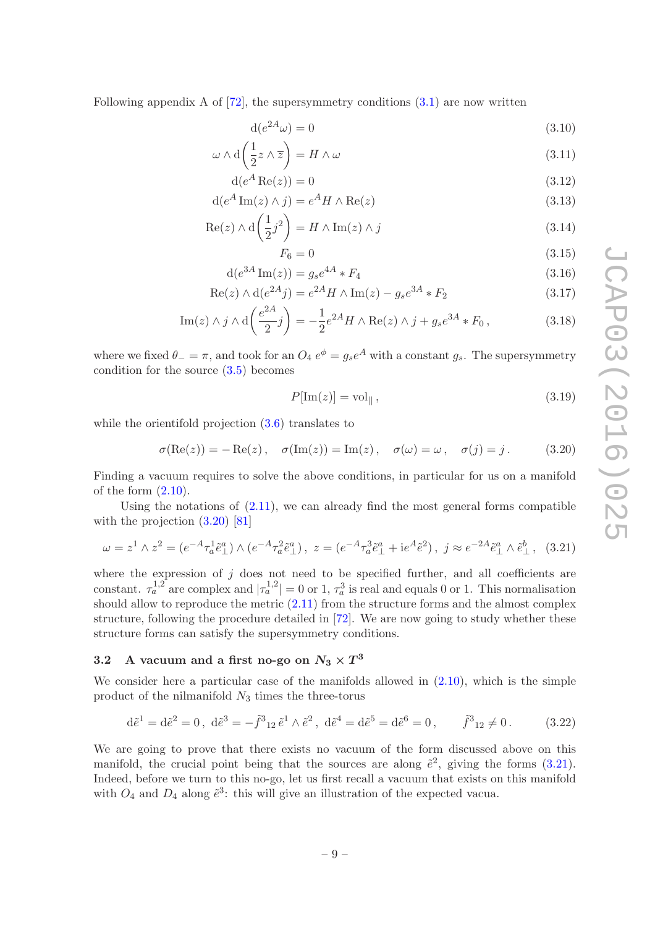Following appendix A of  $[72]$ , the supersymmetry conditions  $(3.1)$  are now written

<span id="page-10-4"></span>
$$
d(e^{2A}\omega) = 0 \tag{3.10}
$$

$$
\omega \wedge d\left(\frac{1}{2}z \wedge \overline{z}\right) = H \wedge \omega \tag{3.11}
$$

$$
d(e^A \operatorname{Re}(z)) = 0 \tag{3.12}
$$

$$
d(e^A Im(z) \wedge j) = e^A H \wedge Re(z)
$$
\n(3.13)

$$
\operatorname{Re}(z) \wedge \mathrm{d}\left(\frac{1}{2}j^2\right) = H \wedge \operatorname{Im}(z) \wedge j \tag{3.14}
$$

<span id="page-10-11"></span><span id="page-10-10"></span><span id="page-10-8"></span><span id="page-10-7"></span><span id="page-10-6"></span><span id="page-10-5"></span>
$$
F_6 = 0 \tag{3.15}
$$

$$
d(e^{3A}\operatorname{Im}(z)) = g_s e^{4A} * F_4
$$
\n(3.16)

$$
Re(z) \wedge d(e^{2A}j) = e^{2A}H \wedge Im(z) - g_s e^{3A} * F_2
$$
\n(3.17)

Im(z) 
$$
\wedge j \wedge d\left(\frac{e^{2A}}{2}j\right) = -\frac{1}{2}e^{2A}H \wedge \text{Re}(z) \wedge j + g_s e^{3A} * F_0,
$$
 (3.18)

where we fixed  $\theta_-=\pi$ , and took for an  $O_4 e^{\phi}=g_s e^A$  with a constant  $g_s$ . The supersymmetry condition for the source [\(3.5\)](#page-9-5) becomes

<span id="page-10-9"></span>
$$
P[\text{Im}(z)] = \text{vol}_{\parallel},\tag{3.19}
$$

while the orientifold projection  $(3.6)$  translates to

<span id="page-10-1"></span>
$$
\sigma(\text{Re}(z)) = -\text{Re}(z), \quad \sigma(\text{Im}(z)) = \text{Im}(z), \quad \sigma(\omega) = \omega, \quad \sigma(j) = j. \tag{3.20}
$$

Finding a vacuum requires to solve the above conditions, in particular for us on a manifold of the form  $(2.10)$ .

Using the notations of  $(2.11)$ , we can already find the most general forms compatible with the projection  $(3.20)$  [\[81\]](#page-29-14)

<span id="page-10-2"></span>
$$
\omega = z^1 \wedge z^2 = (e^{-A} \tau_a^1 \tilde{e}_{\perp}^a) \wedge (e^{-A} \tau_a^2 \tilde{e}_{\perp}^a), \ z = (e^{-A} \tau_a^3 \tilde{e}_{\perp}^a + i e^A \tilde{e}^2), \ j \approx e^{-2A} \tilde{e}_{\perp}^a \wedge \tilde{e}_{\perp}^b, \ (3.21)
$$

where the expression of  $j$  does not need to be specified further, and all coefficients are constant.  $\tau_a^{1,2}$  are complex and  $|\tau_a^{1,2}| = 0$  or 1,  $\tau_a^3$  is real and equals 0 or 1. This normalisation should allow to reproduce the metric [\(2.11\)](#page-8-4) from the structure forms and the almost complex structure, following the procedure detailed in [\[72](#page-29-5)]. We are now going to study whether these structure forms can satisfy the supersymmetry conditions.

# <span id="page-10-0"></span>3.2 A vacuum and a first no-go on  $N_3 \times T^3$

We consider here a particular case of the manifolds allowed in  $(2.10)$ , which is the simple product of the nilmanifold  $N_3$  times the three-torus

<span id="page-10-3"></span>
$$
d\tilde{e}^1 = d\tilde{e}^2 = 0, \ d\tilde{e}^3 = -\tilde{f}^3{}_{12}\tilde{e}^1 \wedge \tilde{e}^2, \ d\tilde{e}^4 = d\tilde{e}^5 = d\tilde{e}^6 = 0, \qquad \tilde{f}^3{}_{12} \neq 0. \tag{3.22}
$$

We are going to prove that there exists no vacuum of the form discussed above on this manifold, the crucial point being that the sources are along  $\tilde{e}^2$ , giving the forms [\(3.21\)](#page-10-2). Indeed, before we turn to this no-go, let us first recall a vacuum that exists on this manifold with  $O_4$  and  $D_4$  along  $\tilde{e}^3$ : this will give an illustration of the expected vacua.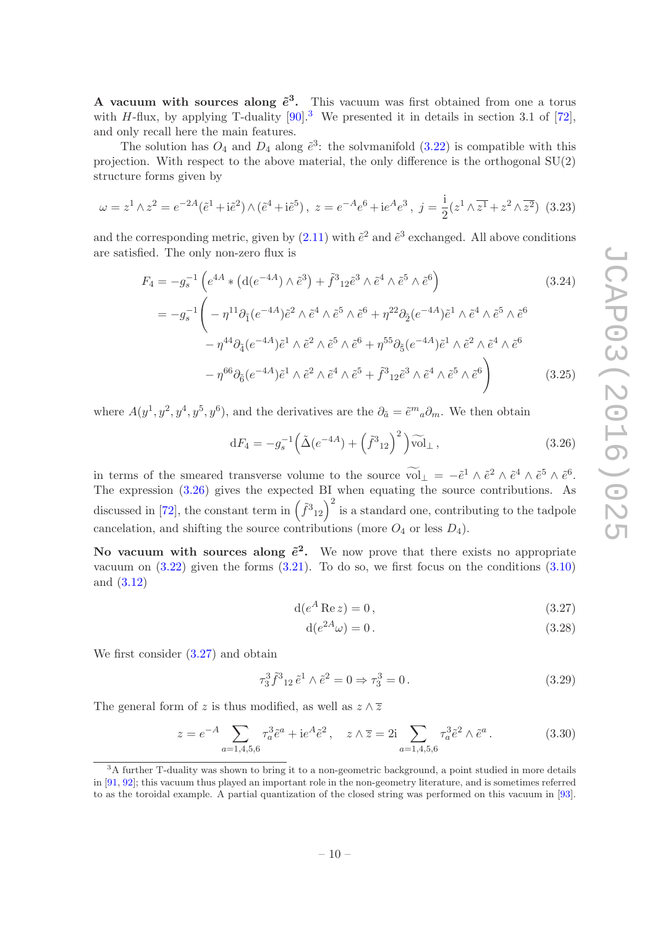A vacuum with sources along  $\tilde{e}^3$ . This vacuum was first obtained from one a torus with H-flux, by applying T-duality  $[90]$ .<sup>[3](#page-11-0)</sup> We presented it in details in section 3.1 of [\[72](#page-29-5)], and only recall here the main features.

The solution has  $O_4$  and  $D_4$  along  $\tilde{e}^3$ : the solvmanifold  $(3.22)$  is compatible with this projection. With respect to the above material, the only difference is the orthogonal SU(2) structure forms given by

$$
\omega = z^1 \wedge z^2 = e^{-2A} (\tilde{e}^1 + i\tilde{e}^2) \wedge (\tilde{e}^4 + i\tilde{e}^5), \ z = e^{-A} e^6 + i e^A e^3, \ j = \frac{i}{2} (z^1 \wedge \overline{z^1} + z^2 \wedge \overline{z^2}) \tag{3.23}
$$

and the corresponding metric, given by  $(2.11)$  with  $\tilde{e}^2$  and  $\tilde{e}^3$  exchanged. All above conditions are satisfied. The only non-zero flux is

$$
F_4 = -g_s^{-1} \left( e^{4A} * (d(e^{-4A}) \wedge \tilde{e}^3) + \tilde{f}^3{}_{12} \tilde{e}^3 \wedge \tilde{e}^4 \wedge \tilde{e}^5 \wedge \tilde{e}^6 \right)
$$
(3.24)  

$$
= -g_s^{-1} \left( -\eta^{11} \partial_{\tilde{1}} (e^{-4A}) \tilde{e}^2 \wedge \tilde{e}^4 \wedge \tilde{e}^5 \wedge \tilde{e}^6 + \eta^{22} \partial_{\tilde{2}} (e^{-4A}) \tilde{e}^1 \wedge \tilde{e}^4 \wedge \tilde{e}^5 \wedge \tilde{e}^6 - \eta^{44} \partial_{\tilde{4}} (e^{-4A}) \tilde{e}^1 \wedge \tilde{e}^2 \wedge \tilde{e}^5 \wedge \tilde{e}^6 + \eta^{55} \partial_{\tilde{5}} (e^{-4A}) \tilde{e}^1 \wedge \tilde{e}^2 \wedge \tilde{e}^4 \wedge \tilde{e}^6 - \eta^{66} \partial_{\tilde{6}} (e^{-4A}) \tilde{e}^1 \wedge \tilde{e}^2 \wedge \tilde{e}^4 \wedge \tilde{e}^5 + \tilde{f}^3{}_{12} \tilde{e}^3 \wedge \tilde{e}^4 \wedge \tilde{e}^5 \wedge \tilde{e}^6 \right)
$$
(3.25)

where  $A(y^1, y^2, y^4, y^5, y^6)$ , and the derivatives are the  $\partial_{\tilde{a}} = \tilde{e}^m{}_a \partial_m$ . We then obtain

<span id="page-11-6"></span><span id="page-11-1"></span>
$$
dF_4 = -g_s^{-1} \left( \tilde{\Delta} (e^{-4A}) + \left( \tilde{f}^3{}_{12} \right)^2 \right) \widetilde{\text{vol}}_{\perp} ,\qquad (3.26)
$$

in terms of the smeared transverse volume to the source  $\widehat{\text{vol}}_{\perp} = -\tilde{e}^1 \wedge \tilde{e}^2 \wedge \tilde{e}^4 \wedge \tilde{e}^5 \wedge \tilde{e}^6$ . The expression [\(3.26\)](#page-11-1) gives the expected BI when equating the source contributions. As discussed in [\[72](#page-29-5)], the constant term in  $(\tilde{f}^3{}_{12})^2$  is a standard one, contributing to the tadpole cancelation, and shifting the source contributions (more  $O_4$  or less  $D_4$ ).

No vacuum with sources along  $\tilde{e}^2$ . We now prove that there exists no appropriate vacuum on  $(3.22)$  given the forms  $(3.21)$ . To do so, we first focus on the conditions  $(3.10)$ and [\(3.12\)](#page-10-5)

$$
d(e^A \operatorname{Re} z) = 0, \tag{3.27}
$$

<span id="page-11-3"></span><span id="page-11-2"></span>
$$
d(e^{2A}\omega) = 0.
$$
\n
$$
(3.28)
$$

We first consider [\(3.27\)](#page-11-2) and obtain

<span id="page-11-5"></span>
$$
\tau_3^3 \tilde{f}^3{}_{12} \tilde{e}^1 \wedge \tilde{e}^2 = 0 \Rightarrow \tau_3^3 = 0. \tag{3.29}
$$

The general form of z is thus modified, as well as  $z \wedge \overline{z}$ 

<span id="page-11-4"></span>
$$
z = e^{-A} \sum_{a=1,4,5,6} \tau_a^3 \tilde{e}^a + i e^A \tilde{e}^2, \quad z \wedge \overline{z} = 2i \sum_{a=1,4,5,6} \tau_a^3 \tilde{e}^2 \wedge \tilde{e}^a. \tag{3.30}
$$

<span id="page-11-0"></span><sup>&</sup>lt;sup>3</sup>A further T-duality was shown to bring it to a non-geometric background, a point studied in more details in [\[91,](#page-30-6) [92\]](#page-30-7); this vacuum thus played an important role in the non-geometry literature, and is sometimes referred to as the toroidal example. A partial quantization of the closed string was performed on this vacuum in [\[93](#page-30-8)].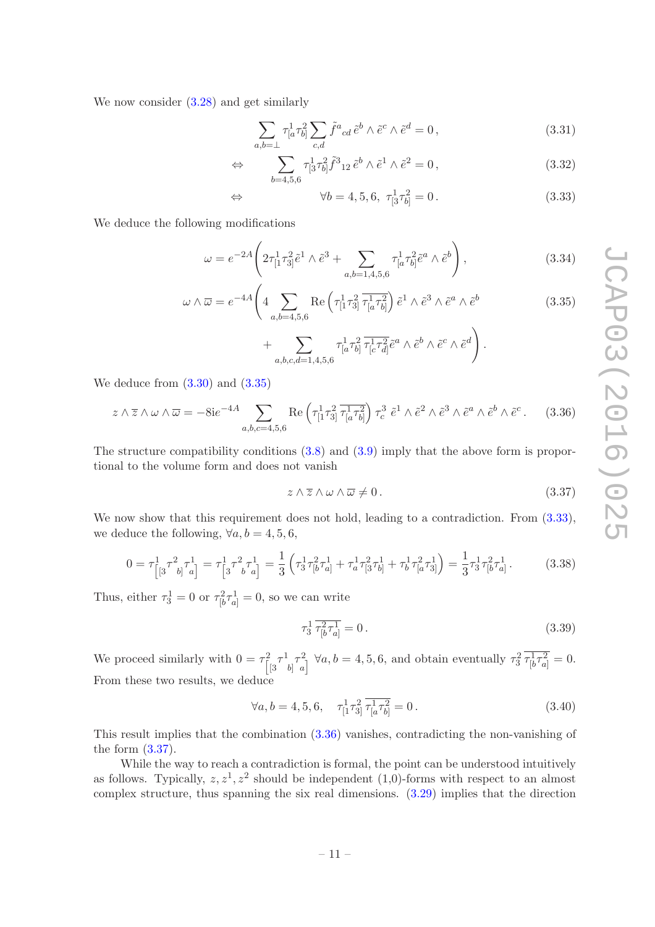We now consider [\(3.28\)](#page-11-3) and get similarly

<span id="page-12-1"></span>
$$
\sum_{a,b=\perp} \tau^1_{[a}\tau^2_{b]} \sum_{c,d} \tilde{f}^a{}_{cd} \tilde{e}^b \wedge \tilde{e}^c \wedge \tilde{e}^d = 0, \qquad (3.31)
$$

$$
\Leftrightarrow \sum_{b=4,5,6} \tau_{[3}^1 \tau_{b]}^2 \tilde{f}^3_{12} \tilde{e}^b \wedge \tilde{e}^1 \wedge \tilde{e}^2 = 0, \qquad (3.32)
$$

⇔ ∀b = 4, 5, 6, τ <sup>1</sup> [3τ 2 <sup>b</sup>] = 0 . (3.33)

We deduce the following modifications

$$
\omega = e^{-2A} \left( 2\tau_{[1}^1 \tau_{3]}^2 \tilde{e}^1 \wedge \tilde{e}^3 + \sum_{a,b=1,4,5,6} \tau_{[a}^1 \tau_{b]}^2 \tilde{e}^a \wedge \tilde{e}^b \right), \tag{3.34}
$$

$$
\omega \wedge \overline{\omega} = e^{-4A} \left( 4 \sum_{a,b=4,5,6} \text{Re} \left( \tau_{[1}^1 \tau_{3]}^2 \overline{\tau_{[a}^1 \tau_{b]}^2} \right) \tilde{e}^1 \wedge \tilde{e}^3 \wedge \tilde{e}^a \wedge \tilde{e}^b \right) \tag{3.35}
$$

<span id="page-12-4"></span><span id="page-12-0"></span>
$$
+\sum_{a,b,c,d=1,4,5,6}\tau^1_{[a}\tau^2_{b]}\overline{\tau^1_{[c}\tau^2_{d]}}\tilde{e}^a\wedge\tilde{e}^b\wedge\tilde{e}^c\wedge\tilde{e}^d\bigg).
$$

We deduce from  $(3.30)$  and  $(3.35)$ 

<span id="page-12-2"></span>
$$
z \wedge \overline{z} \wedge \omega \wedge \overline{\omega} = -8ie^{-4A} \sum_{a,b,c=4,5,6} \text{Re}\left(\tau_{[1}^{1}\tau_{3]}^{2}\overline{\tau_{[a}^{1}\tau_{b]}^{2}}\right) \tau_{c}^{3} \tilde{e}^{1} \wedge \tilde{e}^{2} \wedge \tilde{e}^{3} \wedge \tilde{e}^{a} \wedge \tilde{e}^{b} \wedge \tilde{e}^{c}. \tag{3.36}
$$

The structure compatibility conditions [\(3.8\)](#page-9-6) and [\(3.9\)](#page-9-7) imply that the above form is proportional to the volume form and does not vanish

<span id="page-12-3"></span>
$$
z \wedge \overline{z} \wedge \omega \wedge \overline{\omega} \neq 0. \tag{3.37}
$$

We now show that this requirement does not hold, leading to a contradiction. From  $(3.33)$ , we deduce the following,  $\forall a, b = 4, 5, 6,$ 

$$
0 = \tau_{\left[3}^{1} \tau_{b\right]}^{2} \tau_{a\right]}^{1} = \tau_{\left[3}^{1} \tau_{b\right]}^{2} \tau_{a\right]}^{1} = \frac{1}{3} \left( \tau_{3}^{1} \tau_{\left[b\right]}^{2} \tau_{a\right] + \tau_{a}^{1} \tau_{\left[3\right]}^{2} \tau_{b\right]}^{1} + \tau_{b}^{1} \tau_{\left[a\right]}^{2} \tau_{3\right]}^{1} = \frac{1}{3} \tau_{3}^{1} \tau_{\left[b\right]}^{2} \tau_{a\right]}^{1}.
$$
 (3.38)

Thus, either  $\tau_3^1 = 0$  or  $\tau_{\lbrack b}^2 \tau_{a]}^1 = 0$ , so we can write

$$
\tau_3^1 \, \overline{\tau_{[b}^2 \tau_{a]}^1} = 0 \,. \tag{3.39}
$$

We proceed similarly with  $0 = \tau_{\parallel}^2$  $\frac{1}{3}\tau^1$  $b\big]^{\mathcal{T}^2_a}$  $\tau_3^2 \tau_{[b}^1 \tau_{a]}^2 = 0.$ <br>  $\tau_a^2 \tau_{[b}^1 \tau_{a]}^2 = 0.$ From these two results, we deduce

$$
\forall a, b = 4, 5, 6, \quad \tau^1_{[1}\tau^2_{3]} \overline{\tau^1_{[a}\tau^2_{b]}} = 0. \tag{3.40}
$$

This result implies that the combination [\(3.36\)](#page-12-2) vanishes, contradicting the non-vanishing of the form [\(3.37\)](#page-12-3).

While the way to reach a contradiction is formal, the point can be understood intuitively as follows. Typically,  $z, z^1, z^2$  should be independent (1,0)-forms with respect to an almost complex structure, thus spanning the six real dimensions. [\(3.29\)](#page-11-5) implies that the direction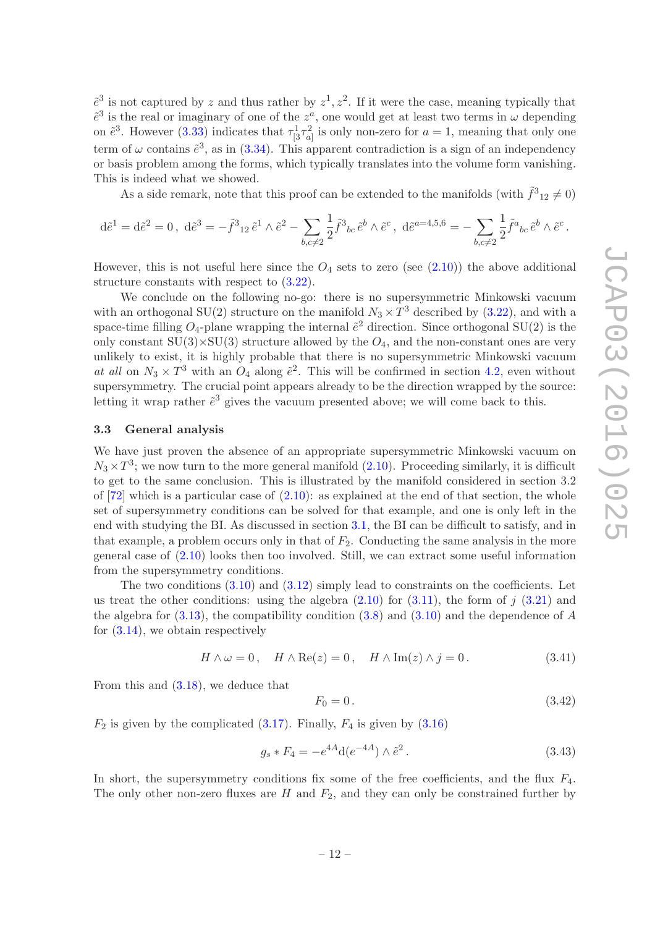$\tilde{e}^3$  is not captured by z and thus rather by  $z^1, z^2$ . If it were the case, meaning typically that  $e^3$  is the real or imaginary of one of the  $z^a$ , one would get at least two terms in  $\omega$  depending on  $\tilde{e}^3$ . However [\(3.33\)](#page-12-1) indicates that  $\tau^1_{3}\tau^2_{a]}$  is only non-zero for  $a=1$ , meaning that only one term of  $\omega$  contains  $\tilde{e}^3$ , as in [\(3.34\)](#page-12-4). This apparent contradiction is a sign of an independency or basis problem among the forms, which typically translates into the volume form vanishing. This is indeed what we showed.

As a side remark, note that this proof can be extended to the manifolds (with  $\tilde{f}^3_{12} \neq 0$ )

$$
d\tilde{e}^1 = d\tilde{e}^2 = 0, \; d\tilde{e}^3 = -\tilde{f}^3{}_{12} \tilde{e}^1 \wedge \tilde{e}^2 - \sum_{b,c \neq 2} \frac{1}{2} \tilde{f}^3{}_{bc} \tilde{e}^b \wedge \tilde{e}^c, \; d\tilde{e}^{a=4,5,6} = -\sum_{b,c \neq 2} \frac{1}{2} \tilde{f}^a{}_{bc} \tilde{e}^b \wedge \tilde{e}^c.
$$

However, this is not useful here since the  $O_4$  sets to zero (see  $(2.10)$ ) the above additional structure constants with respect to [\(3.22\)](#page-10-3).

We conclude on the following no-go: there is no supersymmetric Minkowski vacuum with an orthogonal SU(2) structure on the manifold  $N_3 \times T^3$  described by [\(3.22\)](#page-10-3), and with a space-time filling  $O_4$ -plane wrapping the internal  $\tilde{e}^2$  direction. Since orthogonal SU(2) is the only constant  $SU(3) \times SU(3)$  structure allowed by the  $O_4$ , and the non-constant ones are very unlikely to exist, it is highly probable that there is no supersymmetric Minkowski vacuum *at all* on  $N_3 \times T^3$  with an  $O_4$  along  $\tilde{e}^2$ . This will be confirmed in section [4.2,](#page-18-0) even without supersymmetry. The crucial point appears already to be the direction wrapped by the source: letting it wrap rather  $\tilde{e}^3$  gives the vacuum presented above; we will come back to this.

#### <span id="page-13-0"></span>3.3 General analysis

We have just proven the absence of an appropriate supersymmetric Minkowski vacuum on  $N_3 \times T^3$ ; we now turn to the more general manifold [\(2.10\)](#page-8-3). Proceeding similarly, it is difficult to get to the same conclusion. This is illustrated by the manifold considered in section 3.2 of  $[72]$  which is a particular case of  $(2.10)$ : as explained at the end of that section, the whole set of supersymmetry conditions can be solved for that example, and one is only left in the end with studying the BI. As discussed in section [3.1,](#page-8-1) the BI can be difficult to satisfy, and in that example, a problem occurs only in that of  $F_2$ . Conducting the same analysis in the more general case of [\(2.10\)](#page-8-3) looks then too involved. Still, we can extract some useful information from the supersymmetry conditions.

The two conditions  $(3.10)$  and  $(3.12)$  simply lead to constraints on the coefficients. Let us treat the other conditions: using the algebra  $(2.10)$  for  $(3.11)$ , the form of j  $(3.21)$  and the algebra for  $(3.13)$ , the compatibility condition  $(3.8)$  and  $(3.10)$  and the dependence of A for  $(3.14)$ , we obtain respectively

$$
H \wedge \omega = 0, \quad H \wedge \text{Re}(z) = 0, \quad H \wedge \text{Im}(z) \wedge j = 0. \tag{3.41}
$$

From this and [\(3.18\)](#page-10-9), we deduce that

$$
F_0 = 0. \t\t(3.42)
$$

 $F_2$  is given by the complicated [\(3.17\)](#page-10-10). Finally,  $F_4$  is given by [\(3.16\)](#page-10-11)

<span id="page-13-1"></span>
$$
g_s * F_4 = -e^{4A} d(e^{-4A}) \wedge \tilde{e}^2.
$$
 (3.43)

In short, the supersymmetry conditions fix some of the free coefficients, and the flux  $F_4$ . The only other non-zero fluxes are  $H$  and  $F_2$ , and they can only be constrained further by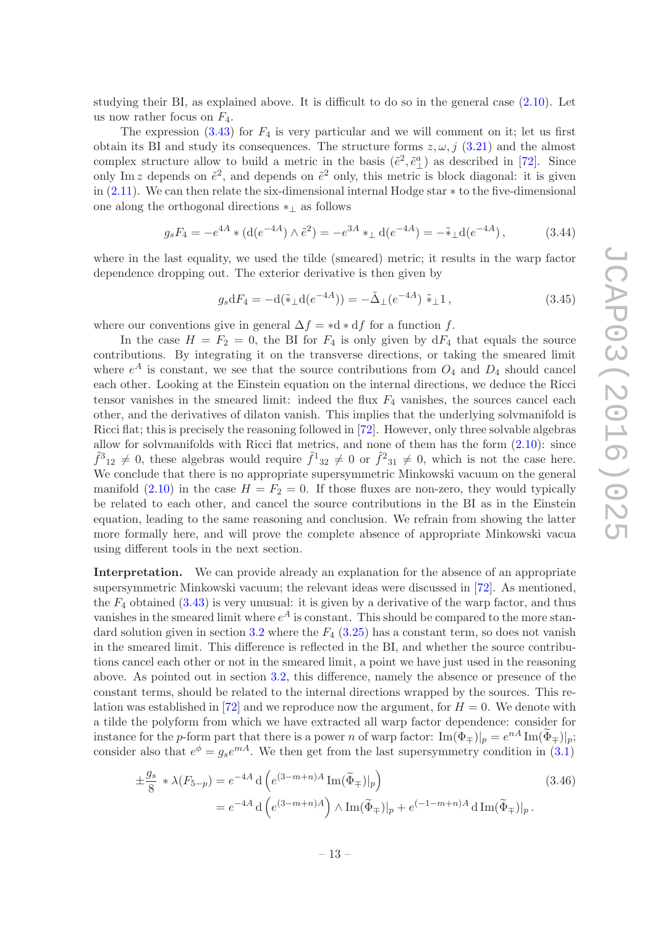studying their BI, as explained above. It is difficult to do so in the general case [\(2.10\)](#page-8-3). Let us now rather focus on  $F_4$ .

The expression  $(3.43)$  for  $F_4$  is very particular and we will comment on it; let us first obtain its BI and study its consequences. The structure forms  $z, \omega, j$  [\(3.21\)](#page-10-2) and the almost complex structure allow to build a metric in the basis  $(\tilde{e}^2, \tilde{e}^a_\perp)$  as described in [\[72\]](#page-29-5). Since only Im z depends on  $\tilde{e}^2$ , and depends on  $\tilde{e}^2$  only, this metric is block diagonal: it is given in [\(2.11\)](#page-8-4). We can then relate the six-dimensional internal Hodge star ∗ to the five-dimensional one along the orthogonal directions ∗<sup>⊥</sup> as follows

$$
g_s F_4 = -e^{4A} * (\mathrm{d}(e^{-4A}) \wedge \tilde{e}^2) = -e^{3A} *_{\perp} \mathrm{d}(e^{-4A}) = -\tilde{*}_{\perp} \mathrm{d}(e^{-4A}), \qquad (3.44)
$$

where in the last equality, we used the tilde (smeared) metric; it results in the warp factor dependence dropping out. The exterior derivative is then given by

$$
g_s dF_4 = -d(\tilde{\ast}_{\perp} d(e^{-4A})) = -\tilde{\Delta}_{\perp} (e^{-4A}) \tilde{\ast}_{\perp} 1, \qquad (3.45)
$$

where our conventions give in general  $\Delta f = *d * df$  for a function f.

In the case  $H = F_2 = 0$ , the BI for  $F_4$  is only given by  $dF_4$  that equals the source contributions. By integrating it on the transverse directions, or taking the smeared limit where  $e^{A}$  is constant, we see that the source contributions from  $O_4$  and  $D_4$  should cancel each other. Looking at the Einstein equation on the internal directions, we deduce the Ricci tensor vanishes in the smeared limit: indeed the flux  $F_4$  vanishes, the sources cancel each other, and the derivatives of dilaton vanish. This implies that the underlying solvmanifold is Ricci flat; this is precisely the reasoning followed in [\[72](#page-29-5)]. However, only three solvable algebras allow for solvmanifolds with Ricci flat metrics, and none of them has the form [\(2.10\)](#page-8-3): since  $\tilde{f}_{12}^3 \neq 0$ , these algebras would require  $\tilde{f}_{32}^1 \neq 0$  or  $\tilde{f}_{31}^2 \neq 0$ , which is not the case here. We conclude that there is no appropriate supersymmetric Minkowski vacuum on the general manifold  $(2.10)$  in the case  $H = F_2 = 0$ . If those fluxes are non-zero, they would typically be related to each other, and cancel the source contributions in the BI as in the Einstein equation, leading to the same reasoning and conclusion. We refrain from showing the latter more formally here, and will prove the complete absence of appropriate Minkowski vacua using different tools in the next section.

Interpretation. We can provide already an explanation for the absence of an appropriate supersymmetric Minkowski vacuum; the relevant ideas were discussed in [\[72](#page-29-5)]. As mentioned, the  $F_4$  obtained [\(3.43\)](#page-13-1) is very unusual: it is given by a derivative of the warp factor, and thus vanishes in the smeared limit where  $e^A$  is constant. This should be compared to the more stan-dard solution given in section [3.2](#page-10-0) where the  $F_4$  [\(3.25\)](#page-11-6) has a constant term, so does not vanish in the smeared limit. This difference is reflected in the BI, and whether the source contributions cancel each other or not in the smeared limit, a point we have just used in the reasoning above. As pointed out in section [3.2,](#page-10-0) this difference, namely the absence or presence of the constant terms, should be related to the internal directions wrapped by the sources. This re-lation was established in [\[72](#page-29-5)] and we reproduce now the argument, for  $H = 0$ . We denote with a tilde the polyform from which we have extracted all warp factor dependence: consider for instance for the p-form part that there is a power n of warp factor:  $\text{Im}(\Phi_{\pm})|_p = e^{nA} \text{Im}(\tilde{\Phi}_{\pm})|_p$ ; consider also that  $e^{\phi} = g_s e^{mA}$ . We then get from the last supersymmetry condition in [\(3.1\)](#page-8-2)

$$
\pm \frac{g_s}{8} * \lambda(F_{5-p}) = e^{-4A} d\left(e^{(3-m+n)A} \operatorname{Im}(\widetilde{\Phi}_{\mp})|_p\right)
$$
  
=  $e^{-4A} d\left(e^{(3-m+n)A}\right) \wedge \operatorname{Im}(\widetilde{\Phi}_{\mp})|_p + e^{(-1-m+n)A} d\operatorname{Im}(\widetilde{\Phi}_{\mp})|_p.$  (3.46)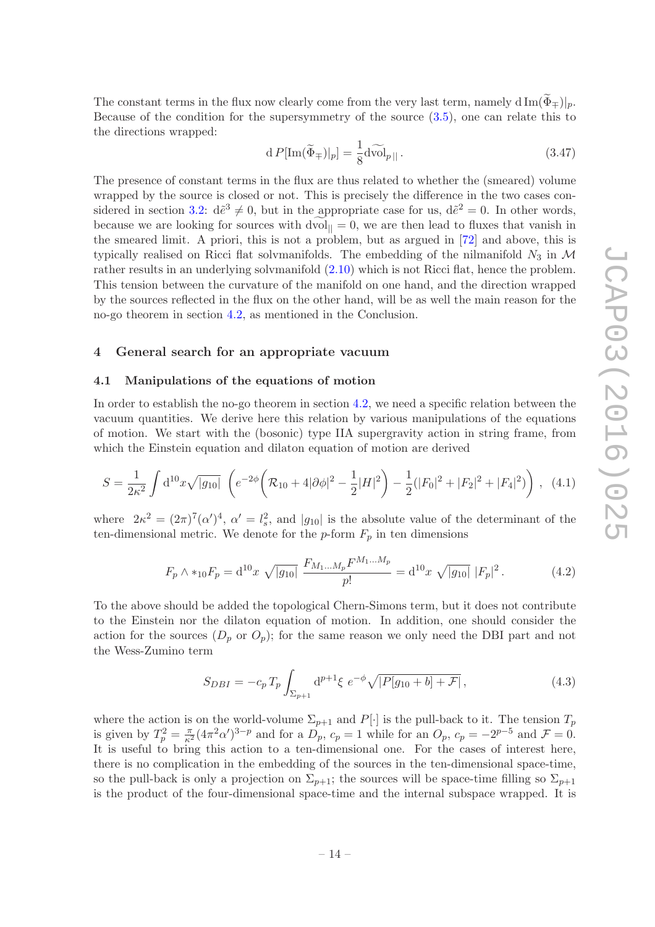The constant terms in the flux now clearly come from the very last term, namely d Im $(\tilde{\Phi}_{\pm})|_p$ . Because of the condition for the supersymmetry of the source [\(3.5\)](#page-9-5), one can relate this to the directions wrapped:

$$
d P[\text{Im}(\widetilde{\Phi}_{\mp})|_{p}] = \frac{1}{8} d \widetilde{\text{vol}}_{p||}.
$$
\n(3.47)

The presence of constant terms in the flux are thus related to whether the (smeared) volume wrapped by the source is closed or not. This is precisely the difference in the two cases con-sidered in section [3.2:](#page-10-0)  $d\tilde{e}^3 \neq 0$ , but in the appropriate case for us,  $d\tilde{e}^2 = 0$ . In other words, because we are looking for sources with  $dvol_{\parallel} = 0$ , we are then lead to fluxes that vanish in the smeared limit. A priori, this is not a problem, but as argued in [\[72\]](#page-29-5) and above, this is typically realised on Ricci flat solvmanifolds. The embedding of the nilmanifold  $N_3$  in  $\mathcal M$ rather results in an underlying solvmanifold  $(2.10)$  which is not Ricci flat, hence the problem. This tension between the curvature of the manifold on one hand, and the direction wrapped by the sources reflected in the flux on the other hand, will be as well the main reason for the no-go theorem in section [4.2,](#page-18-0) as mentioned in the Conclusion.

#### <span id="page-15-1"></span><span id="page-15-0"></span>4 General search for an appropriate vacuum

#### 4.1 Manipulations of the equations of motion

In order to establish the no-go theorem in section [4.2,](#page-18-0) we need a specific relation between the vacuum quantities. We derive here this relation by various manipulations of the equations of motion. We start with the (bosonic) type IIA supergravity action in string frame, from which the Einstein equation and dilaton equation of motion are derived

$$
S = \frac{1}{2\kappa^2} \int d^{10}x \sqrt{|g_{10}|} \left( e^{-2\phi} \left( \mathcal{R}_{10} + 4|\partial\phi|^2 - \frac{1}{2}|H|^2 \right) - \frac{1}{2}(|F_0|^2 + |F_2|^2 + |F_4|^2) \right), \tag{4.1}
$$

where  $2\kappa^2 = (2\pi)^7(\alpha')^4$ ,  $\alpha' = l_s^2$ , and  $|g_{10}|$  is the absolute value of the determinant of the ten-dimensional metric. We denote for the  $p$ -form  $F_p$  in ten dimensions

$$
F_p \wedge *_{10} F_p = \mathrm{d}^{10} x \sqrt{|g_{10}|} \frac{F_{M_1...M_p} F^{M_1...M_p}}{p!} = \mathrm{d}^{10} x \sqrt{|g_{10}|} |F_p|^2. \tag{4.2}
$$

To the above should be added the topological Chern-Simons term, but it does not contribute to the Einstein nor the dilaton equation of motion. In addition, one should consider the action for the sources  $(D_p \text{ or } O_p)$ ; for the same reason we only need the DBI part and not the Wess-Zumino term

$$
S_{DBI} = -c_p T_p \int_{\Sigma_{p+1}} d^{p+1} \xi \ e^{-\phi} \sqrt{|P[g_{10} + b] + \mathcal{F}|} \,, \tag{4.3}
$$

where the action is on the world-volume  $\Sigma_{p+1}$  and  $P[\cdot]$  is the pull-back to it. The tension  $T_p$ is given by  $T_p^2 = \frac{\pi}{\kappa^2} (4\pi^2 \alpha')^{3-p}$  and for a  $D_p$ ,  $c_p = 1$  while for an  $O_p$ ,  $c_p = -2^{p-5}$  and  $\mathcal{F} = 0$ . It is useful to bring this action to a ten-dimensional one. For the cases of interest here, there is no complication in the embedding of the sources in the ten-dimensional space-time, so the pull-back is only a projection on  $\Sigma_{p+1}$ ; the sources will be space-time filling so  $\Sigma_{p+1}$ is the product of the four-dimensional space-time and the internal subspace wrapped. It is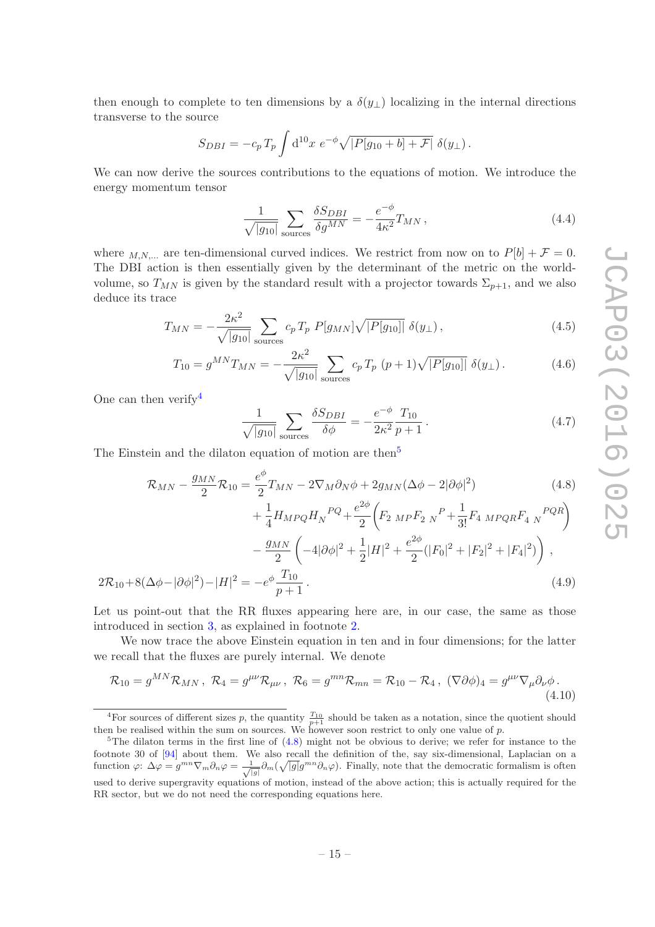then enough to complete to ten dimensions by a  $\delta(y_\perp)$  localizing in the internal directions transverse to the source

$$
S_{DBI} = -c_p T_p \int d^{10}x \ e^{-\phi} \sqrt{|P[g_{10} + b] + \mathcal{F}|} \ \delta(y_\perp).
$$

We can now derive the sources contributions to the equations of motion. We introduce the energy momentum tensor

$$
\frac{1}{\sqrt{|g_{10}|}} \sum_{\text{sources}} \frac{\delta S_{DBI}}{\delta g^{MN}} = -\frac{e^{-\phi}}{4\kappa^2} T_{MN},\tag{4.4}
$$

where  $_{M,N,...}$  are ten-dimensional curved indices. We restrict from now on to  $P[b] + \mathcal{F} = 0$ . The DBI action is then essentially given by the determinant of the metric on the worldvolume, so  $T_{MN}$  is given by the standard result with a projector towards  $\Sigma_{p+1}$ , and we also deduce its trace

$$
T_{MN} = -\frac{2\kappa^2}{\sqrt{|g_{10}|}} \sum_{\text{sources}} c_p T_p P[g_{MN}] \sqrt{|P[g_{10}]|} \delta(y_\perp), \qquad (4.5)
$$

$$
T_{10} = g^{MN} T_{MN} = -\frac{2\kappa^2}{\sqrt{|g_{10}|}} \sum_{\text{sources}} c_p T_p (p+1) \sqrt{|P[g_{10}]|} \delta(y_\perp). \tag{4.6}
$$

One can then verify  $4^4$  $4^4$ 

<span id="page-16-2"></span>
$$
\frac{1}{\sqrt{|g_{10}|}} \sum_{\text{sources}} \frac{\delta S_{DBI}}{\delta \phi} = -\frac{e^{-\phi}}{2\kappa^2} \frac{T_{10}}{p+1} \,. \tag{4.7}
$$

The Einstein and the dilaton equation of motion are then<sup>[5](#page-16-1)</sup>

$$
\mathcal{R}_{MN} - \frac{g_{MN}}{2} \mathcal{R}_{10} = \frac{e^{\phi}}{2} T_{MN} - 2 \nabla_M \partial_N \phi + 2 g_{MN} (\Delta \phi - 2 |\partial \phi|^2)
$$
(4.8)

$$
+\frac{1}{4}H_{MPQ}H_N^{PQ} + \frac{e^{2\phi}}{2}\left(F_{2\ MP}F_{2\ N}^P + \frac{1}{3!}F_{4\ MPQR}F_{4\ N}^{PQR}\right) -\frac{g_{MN}}{2}\left(-4|\partial\phi|^2 + \frac{1}{2}|H|^2 + \frac{e^{2\phi}}{2}(|F_0|^2 + |F_2|^2 + |F_4|^2)\right),
$$
  

$$
2\mathcal{R}_{10} + 8(\Delta\phi - |\partial\phi|^2) - |H|^2 = -e^{\phi}\frac{T_{10}}{p+1}.
$$
 (4.9)

Let us point-out that the RR fluxes appearing here are, in our case, the same as those introduced in section [3,](#page-8-0) as explained in footnote [2.](#page-9-8)

We now trace the above Einstein equation in ten and in four dimensions; for the latter we recall that the fluxes are purely internal. We denote

$$
\mathcal{R}_{10} = g^{MN}\mathcal{R}_{MN}, \ \mathcal{R}_4 = g^{\mu\nu}\mathcal{R}_{\mu\nu}, \ \mathcal{R}_6 = g^{mn}\mathcal{R}_{mn} = \mathcal{R}_{10} - \mathcal{R}_4, \ (\nabla\partial\phi)_4 = g^{\mu\nu}\nabla_{\mu}\partial_{\nu}\phi. \tag{4.10}
$$

<span id="page-16-0"></span><sup>&</sup>lt;sup>4</sup>For sources of different sizes p, the quantity  $\frac{T_{10}}{p+1}$  should be taken as a notation, since the quotient should then be realised within the sum on sources. We however soon restrict to only one value of  $p$ .

<span id="page-16-1"></span><sup>&</sup>lt;sup>5</sup>The dilaton terms in the first line of  $(4.8)$  might not be obvious to derive; we refer for instance to the footnote 30 of [\[94](#page-30-9)] about them. We also recall the definition of the, say six-dimensional, Laplacian on a function  $\varphi: \Delta \varphi = g^{mn} \nabla_m \partial_n \varphi = \frac{1}{\sqrt{|g|}} \partial_m (\sqrt{|g|} g^{mn} \partial_n \varphi)$ . Finally, note that the democratic formalism is often used to derive supergravity equations of motion, instead of the above action; this is actually required for the RR sector, but we do not need the corresponding equations here.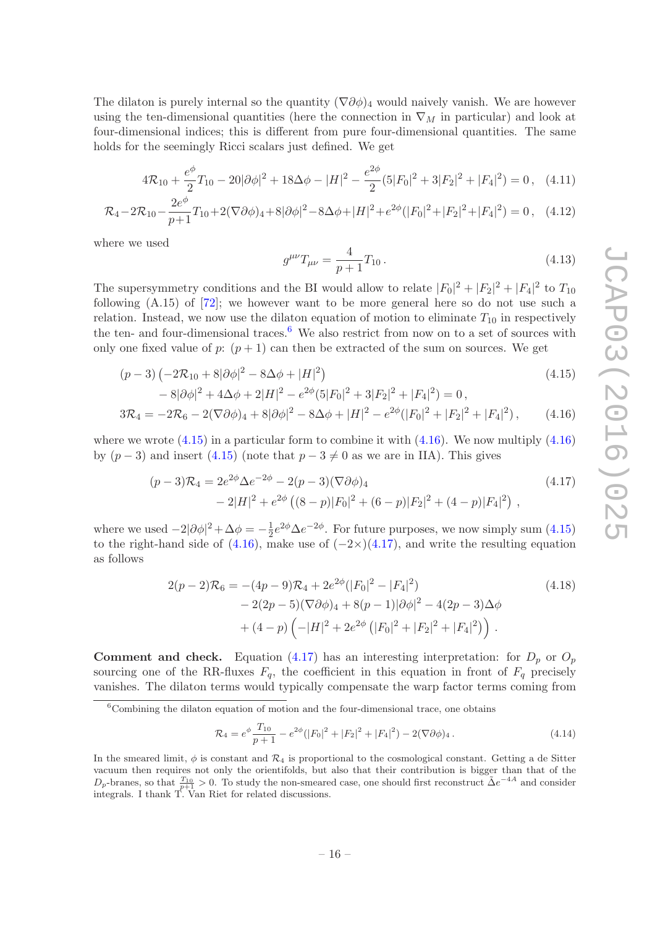The dilaton is purely internal so the quantity  $(\nabla \partial \phi)_4$  would naively vanish. We are however using the ten-dimensional quantities (here the connection in  $\nabla_M$  in particular) and look at four-dimensional indices; this is different from pure four-dimensional quantities. The same holds for the seemingly Ricci scalars just defined. We get

$$
4\mathcal{R}_{10} + \frac{e^{\phi}}{2}T_{10} - 20|\partial\phi|^2 + 18\Delta\phi - |H|^2 - \frac{e^{2\phi}}{2}(5|F_0|^2 + 3|F_2|^2 + |F_4|^2) = 0, \quad (4.11)
$$

$$
\mathcal{R}_4 - 2\mathcal{R}_{10} - \frac{2e^{\phi}}{p+1}T_{10} + 2(\nabla\partial\phi)_4 + 8|\partial\phi|^2 - 8\Delta\phi + |H|^2 + e^{2\phi}(|F_0|^2 + |F_2|^2 + |F_4|^2) = 0\,,\tag{4.12}
$$

where we used

<span id="page-17-4"></span><span id="page-17-3"></span><span id="page-17-2"></span>
$$
g^{\mu\nu}T_{\mu\nu} = \frac{4}{p+1}T_{10} \,. \tag{4.13}
$$

The supersymmetry conditions and the BI would allow to relate  $|F_0|^2 + |F_2|^2 + |F_4|^2$  to  $T_{10}$ following (A.15) of [\[72\]](#page-29-5); we however want to be more general here so do not use such a relation. Instead, we now use the dilaton equation of motion to eliminate  $T_{10}$  in respectively the ten- and four-dimensional traces.<sup>[6](#page-17-1)</sup> We also restrict from now on to a set of sources with only one fixed value of  $p: (p+1)$  can then be extracted of the sum on sources. We get

$$
(p-3)\left(-2\mathcal{R}_{10} + 8|\partial\phi|^2 - 8\Delta\phi + |H|^2\right) \tag{4.15}
$$

$$
-8|\partial\phi|^2 + 4\Delta\phi + 2|H|^2 - e^{2\phi}(5|F_0|^2 + 3|F_2|^2 + |F_4|^2) = 0,
$$
  
\n
$$
3\mathcal{R}_4 = -2\mathcal{R}_6 - 2(\nabla\partial\phi)_4 + 8|\partial\phi|^2 - 8\Delta\phi + |H|^2 - e^{2\phi}(|F_0|^2 + |F_2|^2 + |F_4|^2), \qquad (4.16)
$$

where we wrote  $(4.15)$  in a particular form to combine it with  $(4.16)$ . We now multiply  $(4.16)$ by  $(p-3)$  and insert  $(4.15)$  (note that  $p-3 \neq 0$  as we are in IIA). This gives

$$
(p-3)\mathcal{R}_4 = 2e^{2\phi}\Delta e^{-2\phi} - 2(p-3)(\nabla \partial \phi)_4
$$
  
 
$$
-2|H|^2 + e^{2\phi}((8-p)|F_0|^2 + (6-p)|F_2|^2 + (4-p)|F_4|^2),
$$
 (4.17)

where we used  $-2|\partial \phi|^2 + \Delta \phi = -\frac{1}{2}$  $\frac{1}{2}e^{2\phi}\Delta e^{-2\phi}$ . For future purposes, we now simply sum  $(4.15)$ to the right-hand side of  $(4.16)$ , make use of  $(-2\times)(4.17)$  $(-2\times)(4.17)$ , and write the resulting equation as follows

$$
2(p-2)\mathcal{R}_6 = -(4p-9)\mathcal{R}_4 + 2e^{2\phi}(|F_0|^2 - |F_4|^2)
$$
  
\n
$$
- 2(2p-5)(\nabla\partial\phi)_4 + 8(p-1)|\partial\phi|^2 - 4(2p-3)\Delta\phi
$$
  
\n
$$
+ (4-p)\left(-|H|^2 + 2e^{2\phi}(|F_0|^2 + |F_2|^2 + |F_4|^2)\right).
$$
\n(4.18)

**Comment and check.** Equation [\(4.17\)](#page-17-4) has an interesting interpretation: for  $D_p$  or  $O_p$ sourcing one of the RR-fluxes  $F_q$ , the coefficient in this equation in front of  $F_q$  precisely vanishes. The dilaton terms would typically compensate the warp factor terms coming from

<span id="page-17-0"></span>
$$
\mathcal{R}_4 = e^{\phi} \frac{T_{10}}{p+1} - e^{2\phi} (|F_0|^2 + |F_2|^2 + |F_4|^2) - 2(\nabla \partial \phi)_4.
$$
\n(4.14)

<span id="page-17-1"></span><sup>&</sup>lt;sup>6</sup>Combining the dilaton equation of motion and the four-dimensional trace, one obtains

In the smeared limit,  $\phi$  is constant and  $\mathcal{R}_4$  is proportional to the cosmological constant. Getting a de Sitter vacuum then requires not only the orientifolds, but also that their contribution is bigger than that of the  $D_p$ -branes, so that  $\frac{T_{10}}{p+1} > 0$ . To study the non-smeared case, one should first reconstruct  $\tilde{\Delta}e^{-4A}$  and consider integrals. I thank T. Van Riet for related discussions.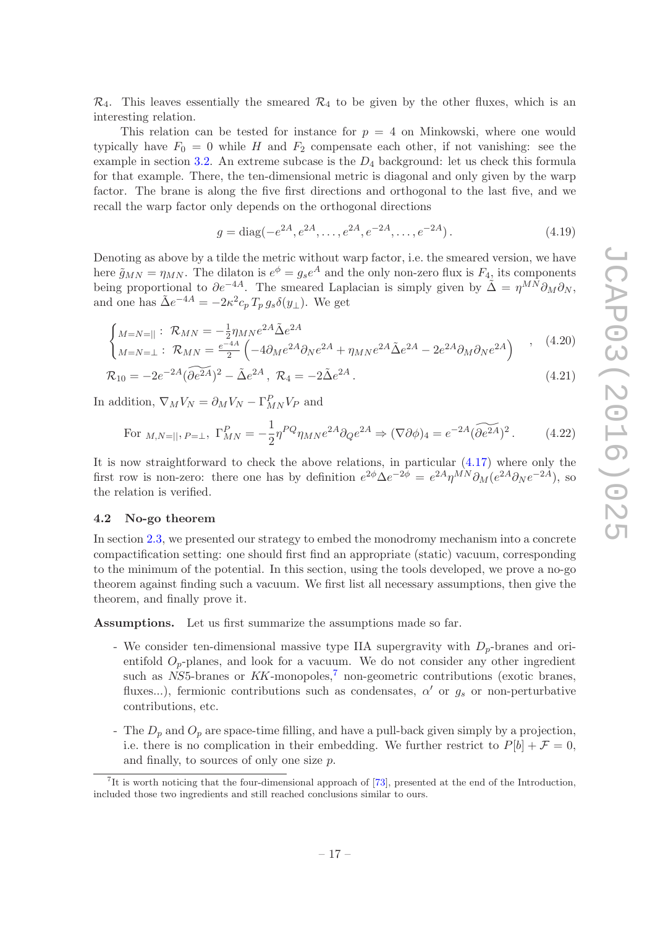$\mathcal{R}_4$ . This leaves essentially the smeared  $\mathcal{R}_4$  to be given by the other fluxes, which is an interesting relation.

This relation can be tested for instance for  $p = 4$  on Minkowski, where one would typically have  $F_0 = 0$  while H and  $F_2$  compensate each other, if not vanishing: see the example in section  $3.2$ . An extreme subcase is the  $D_4$  background: let us check this formula for that example. There, the ten-dimensional metric is diagonal and only given by the warp factor. The brane is along the five first directions and orthogonal to the last five, and we recall the warp factor only depends on the orthogonal directions

$$
g = \text{diag}(-e^{2A}, e^{2A}, \dots, e^{2A}, e^{-2A}, \dots, e^{-2A}).
$$
\n(4.19)

Denoting as above by a tilde the metric without warp factor, i.e. the smeared version, we have here  $\tilde{g}_{MN} = \eta_{MN}$ . The dilaton is  $e^{\phi} = g_s e^A$  and the only non-zero flux is  $F_4$ , its components being proportional to  $\partial e^{-4A}$ . The smeared Laplacian is simply given by  $\tilde{\Delta} = \eta^{MN} \partial_M \partial_N$ , and one has  $\tilde{\Delta}e^{-4A} = -2\kappa^2 c_p T_p g_s \delta(y_\perp)$ . We get

$$
\begin{cases}\nM = N = || \, : \, \mathcal{R}_{MN} = -\frac{1}{2} \eta_{MN} e^{2A} \tilde{\Delta} e^{2A} \\
M = N = \perp : \, \mathcal{R}_{MN} = \frac{e^{-4A}}{2} \left( -4 \partial_M e^{2A} \partial_N e^{2A} + \eta_{MN} e^{2A} \tilde{\Delta} e^{2A} - 2 e^{2A} \partial_M \partial_N e^{2A} \right)\n\end{cases},\n\tag{4.20}
$$

$$
\mathcal{R}_{10} = -2e^{-2A}(\widetilde{\partial e^{2A}})^2 - \tilde{\Delta}e^{2A}, \ \mathcal{R}_4 = -2\tilde{\Delta}e^{2A}.
$$
 (4.21)

In addition,  $\nabla_M V_N = \partial_M V_N - \Gamma^P_{MN} V_P$  and

<span id="page-18-2"></span>For 
$$
_{M,N=||}, P=\perp
$$
,  $\Gamma_{MN}^P = -\frac{1}{2} \eta^{PQ} \eta_{MN} e^{2A} \partial_Q e^{2A} \Rightarrow (\nabla \partial \phi)_4 = e^{-2A} (\widetilde{\partial e^{2A}})^2$ . (4.22)

It is now straightforward to check the above relations, in particular [\(4.17\)](#page-17-4) where only the first row is non-zero: there one has by definition  $e^{2\phi} \Delta e^{-2\phi} = e^{2A} \eta^{MN} \partial_M (e^{2A} \partial_N e^{-2A})$ , so the relation is verified.

#### <span id="page-18-0"></span>4.2 No-go theorem

In section [2.3,](#page-6-0) we presented our strategy to embed the monodromy mechanism into a concrete compactification setting: one should first find an appropriate (static) vacuum, corresponding to the minimum of the potential. In this section, using the tools developed, we prove a no-go theorem against finding such a vacuum. We first list all necessary assumptions, then give the theorem, and finally prove it.

Assumptions. Let us first summarize the assumptions made so far.

- We consider ten-dimensional massive type IIA supergravity with  $D_p$ -branes and orientifold  $O_p$ -planes, and look for a vacuum. We do not consider any other ingredient such as  $NS5$ -branes or  $KK$ -monopoles,<sup>[7](#page-18-1)</sup> non-geometric contributions (exotic branes, fluxes...), fermionic contributions such as condensates,  $\alpha'$  or  $g_s$  or non-perturbative contributions, etc.
- The  $D_p$  and  $O_p$  are space-time filling, and have a pull-back given simply by a projection, i.e. there is no complication in their embedding. We further restrict to  $P[b] + \mathcal{F} = 0$ , and finally, to sources of only one size p.

<span id="page-18-1"></span><sup>7</sup> It is worth noticing that the four-dimensional approach of [\[73](#page-29-6)], presented at the end of the Introduction, included those two ingredients and still reached conclusions similar to ours.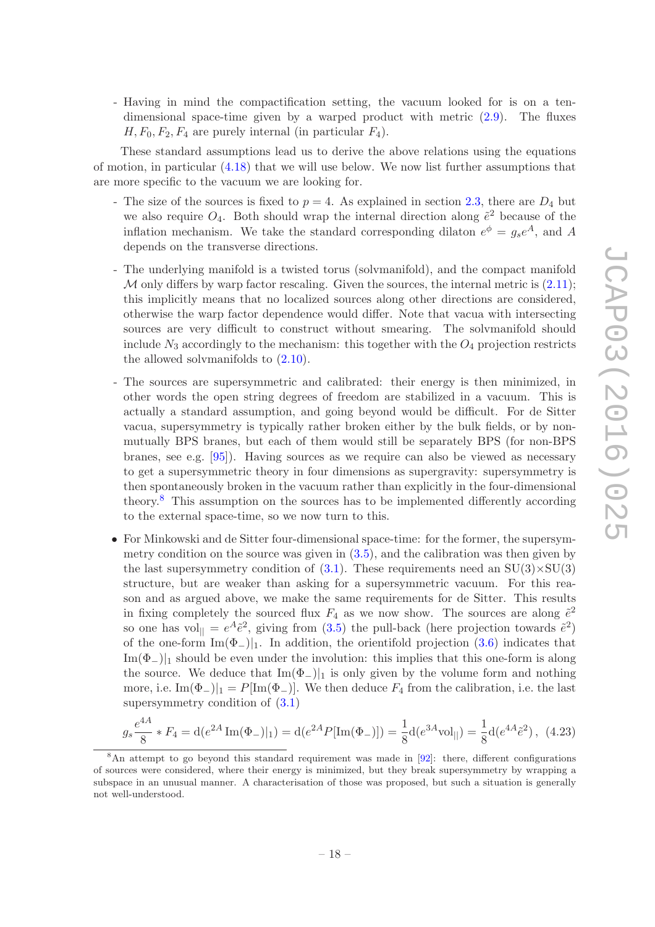- Having in mind the compactification setting, the vacuum looked for is on a tendimensional space-time given by a warped product with metric [\(2.9\)](#page-7-0). The fluxes  $H, F_0, F_2, F_4$  are purely internal (in particular  $F_4$ ).

These standard assumptions lead us to derive the above relations using the equations of motion, in particular [\(4.18\)](#page-17-0) that we will use below. We now list further assumptions that are more specific to the vacuum we are looking for.

- The size of the sources is fixed to  $p = 4$ . As explained in section [2.3,](#page-6-0) there are  $D_4$  but we also require  $O_4$ . Both should wrap the internal direction along  $\tilde{e}^2$  because of the inflation mechanism. We take the standard corresponding dilaton  $e^{\phi} = g_s e^A$ , and A depends on the transverse directions.
- The underlying manifold is a twisted torus (solvmanifold), and the compact manifold M only differs by warp factor rescaling. Given the sources, the internal metric is  $(2.11)$ ; this implicitly means that no localized sources along other directions are considered, otherwise the warp factor dependence would differ. Note that vacua with intersecting sources are very difficult to construct without smearing. The solvmanifold should include  $N_3$  accordingly to the mechanism: this together with the  $O_4$  projection restricts the allowed solvmanifolds to [\(2.10\)](#page-8-3).
- The sources are supersymmetric and calibrated: their energy is then minimized, in other words the open string degrees of freedom are stabilized in a vacuum. This is actually a standard assumption, and going beyond would be difficult. For de Sitter vacua, supersymmetry is typically rather broken either by the bulk fields, or by nonmutually BPS branes, but each of them would still be separately BPS (for non-BPS branes, see e.g. [\[95](#page-30-10)]). Having sources as we require can also be viewed as necessary to get a supersymmetric theory in four dimensions as supergravity: supersymmetry is then spontaneously broken in the vacuum rather than explicitly in the four-dimensional theory.[8](#page-19-0) This assumption on the sources has to be implemented differently according to the external space-time, so we now turn to this.
- For Minkowski and de Sitter four-dimensional space-time: for the former, the supersymmetry condition on the source was given in [\(3.5\)](#page-9-5), and the calibration was then given by the last supersymmetry condition of  $(3.1)$ . These requirements need an  $SU(3) \times SU(3)$ structure, but are weaker than asking for a supersymmetric vacuum. For this reason and as argued above, we make the same requirements for de Sitter. This results in fixing completely the sourced flux  $F_4$  as we now show. The sources are along  $\tilde{e}^2$ so one has vol<sub>||</sub> =  $e^A \tilde{e}^2$ , giving from [\(3.5\)](#page-9-5) the pull-back (here projection towards  $\tilde{e}^2$ ) of the one-form  $\text{Im}(\Phi_{-})|_1$ . In addition, the orientifold projection [\(3.6\)](#page-9-2) indicates that  $\text{Im}(\Phi_{-})|_{1}$  should be even under the involution: this implies that this one-form is along the source. We deduce that  $\text{Im}(\Phi_-)|_1$  is only given by the volume form and nothing more, i.e.  $\text{Im}(\Phi_-)|_1 = P[\text{Im}(\Phi_-)]$ . We then deduce  $F_4$  from the calibration, i.e. the last supersymmetry condition of [\(3.1\)](#page-8-2)

$$
g_s \frac{e^{4A}}{8} * F_4 = d(e^{2A} \operatorname{Im}(\Phi_-)|_1) = d(e^{2A} P[\operatorname{Im}(\Phi_-)]) = \frac{1}{8} d(e^{3A} \operatorname{vol}_{\parallel}) = \frac{1}{8} d(e^{4A} \tilde{e}^2), \tag{4.23}
$$

<span id="page-19-0"></span><sup>&</sup>lt;sup>8</sup>An attempt to go beyond this standard requirement was made in [\[92\]](#page-30-7): there, different configurations of sources were considered, where their energy is minimized, but they break supersymmetry by wrapping a subspace in an unusual manner. A characterisation of those was proposed, but such a situation is generally not well-understood.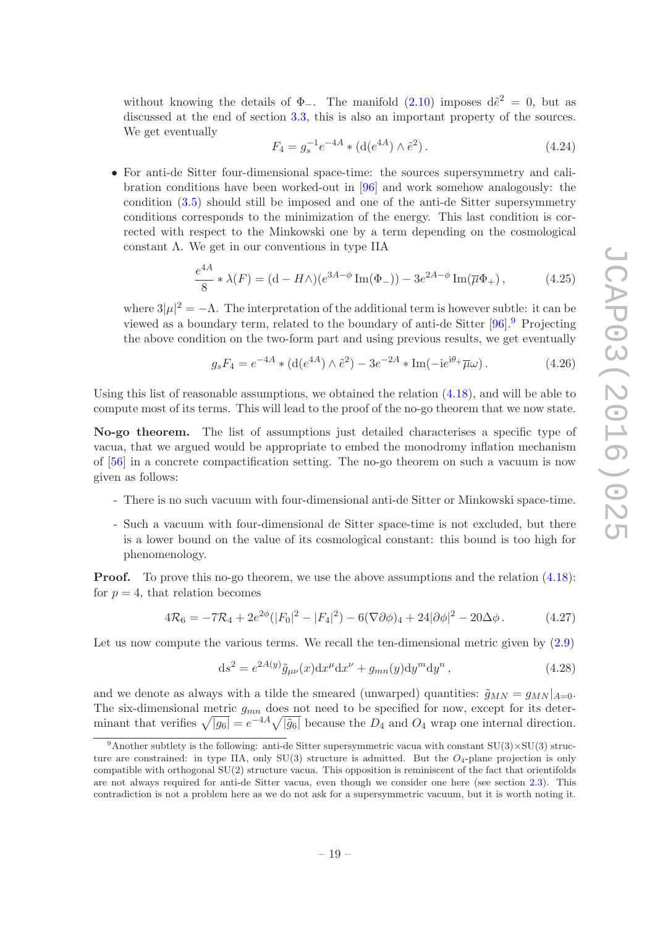without knowing the details of  $\Phi_-\$ . The manifold [\(2.10\)](#page-8-3) imposes  $d\tilde{e}^2 = 0$ , but as discussed at the end of section [3.3,](#page-13-0) this is also an important property of the sources. We get eventually

<span id="page-20-2"></span>
$$
F_4 = g_s^{-1} e^{-4A} * (\text{d}(e^{4A}) \wedge \tilde{e}^2).
$$
 (4.24)

• For anti-de Sitter four-dimensional space-time: the sources supersymmetry and calibration conditions have been worked-out in [\[96](#page-30-11)] and work somehow analogously: the condition [\(3.5\)](#page-9-5) should still be imposed and one of the anti-de Sitter supersymmetry conditions corresponds to the minimization of the energy. This last condition is corrected with respect to the Minkowski one by a term depending on the cosmological constant Λ. We get in our conventions in type IIA

$$
\frac{e^{4A}}{8} * \lambda(F) = (d - H\wedge)(e^{3A - \phi}\operatorname{Im}(\Phi_{-})) - 3e^{2A - \phi}\operatorname{Im}(\overline{\mu}\Phi_{+}),\tag{4.25}
$$

where  $3|\mu|^2 = -\Lambda$ . The interpretation of the additional term is however subtle: it can be viewed as a boundary term, related to the boundary of anti-de Sitter [\[96](#page-30-11)].[9](#page-20-1) Projecting the above condition on the two-form part and using previous results, we get eventually

<span id="page-20-3"></span>
$$
g_s F_4 = e^{-4A} * (\text{d}(e^{4A}) \wedge \tilde{e}^2) - 3e^{-2A} * \text{Im}(-ie^{i\theta_+}\overline{\mu}\omega). \tag{4.26}
$$

Using this list of reasonable assumptions, we obtained the relation [\(4.18\)](#page-17-0), and will be able to compute most of its terms. This will lead to the proof of the no-go theorem that we now state.

No-go theorem. The list of assumptions just detailed characterises a specific type of vacua, that we argued would be appropriate to embed the monodromy inflation mechanism of [\[56\]](#page-28-9) in a concrete compactification setting. The no-go theorem on such a vacuum is now given as follows:

- There is no such vacuum with four-dimensional anti-de Sitter or Minkowski space-time.
- Such a vacuum with four-dimensional de Sitter space-time is not excluded, but there is a lower bound on the value of its cosmological constant: this bound is too high for phenomenology.

**Proof.** To prove this no-go theorem, we use the above assumptions and the relation  $(4.18)$ : for  $p = 4$ , that relation becomes

<span id="page-20-0"></span>
$$
4\mathcal{R}_6 = -7\mathcal{R}_4 + 2e^{2\phi}(|F_0|^2 - |F_4|^2) - 6(\nabla\partial\phi)_4 + 24|\partial\phi|^2 - 20\Delta\phi. \tag{4.27}
$$

Let us now compute the various terms. We recall the ten-dimensional metric given by  $(2.9)$ 

$$
ds2 = e2A(y) \tilde{g}_{\mu\nu}(x) dx\mu dx\nu + g_{mn}(y) dym dyn,
$$
\n(4.28)

and we denote as always with a tilde the smeared (unwarped) quantities:  $\tilde{g}_{MN} = g_{MN}|_{A=0}$ . The six-dimensional metric  $g_{mn}$  does not need to be specified for now, except for its determinant that verifies  $\sqrt{|g_6|} = e^{-4A}\sqrt{|\tilde{g}_6|}$  because the  $D_4$  and  $O_4$  wrap one internal direction.

<span id="page-20-1"></span><sup>&</sup>lt;sup>9</sup>Another subtlety is the following: anti-de Sitter supersymmetric vacua with constant  $SU(3)\times SU(3)$  structure are constrained: in type IIA, only  $SU(3)$  structure is admitted. But the  $O_4$ -plane projection is only compatible with orthogonal SU(2) structure vacua. This opposition is reminiscent of the fact that orientifolds are not always required for anti-de Sitter vacua, even though we consider one here (see section [2.3\)](#page-6-0). This contradiction is not a problem here as we do not ask for a supersymmetric vacuum, but it is worth noting it.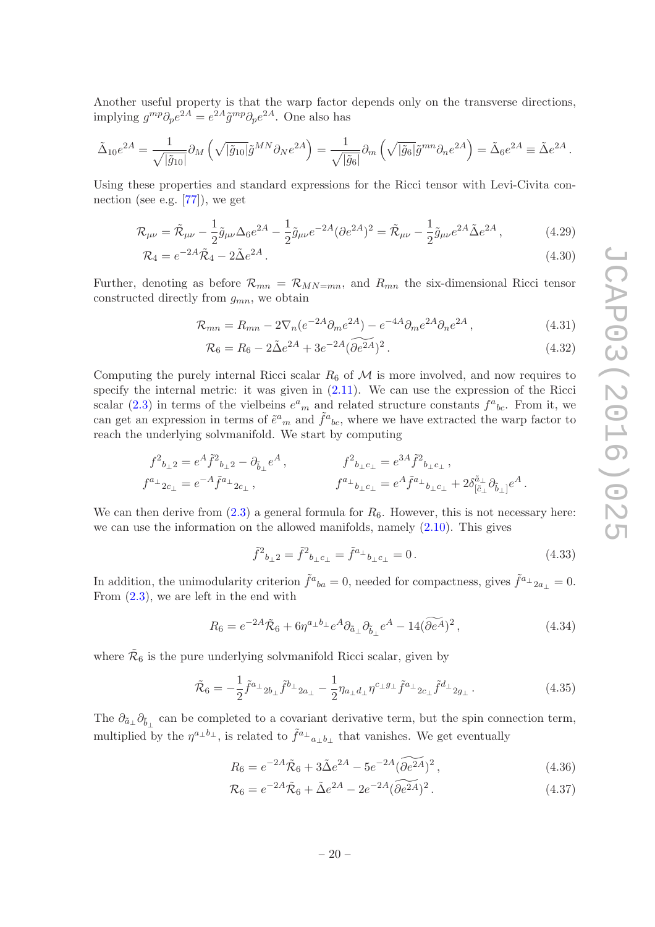Another useful property is that the warp factor depends only on the transverse directions, implying  $g^{mp}\partial_p e^{2A} = e^{2A}\tilde{g}^{mp}\partial_p e^{2A}$ . One also has

$$
\tilde{\Delta}_{10}e^{2A} = \frac{1}{\sqrt{|\tilde{g}_{10}|}} \partial_M \left( \sqrt{|\tilde{g}_{10}|} \tilde{g}^{MN} \partial_N e^{2A} \right) = \frac{1}{\sqrt{|\tilde{g}_6|}} \partial_m \left( \sqrt{|\tilde{g}_6|} \tilde{g}^{mn} \partial_n e^{2A} \right) = \tilde{\Delta}_6 e^{2A} \equiv \tilde{\Delta} e^{2A}.
$$

Using these properties and standard expressions for the Ricci tensor with Levi-Civita connection (see e.g. [\[77\]](#page-29-10)), we get

$$
\mathcal{R}_{\mu\nu} = \tilde{\mathcal{R}}_{\mu\nu} - \frac{1}{2}\tilde{g}_{\mu\nu}\Delta_6 e^{2A} - \frac{1}{2}\tilde{g}_{\mu\nu}e^{-2A}(\partial e^{2A})^2 = \tilde{\mathcal{R}}_{\mu\nu} - \frac{1}{2}\tilde{g}_{\mu\nu}e^{2A}\tilde{\Delta}e^{2A},\tag{4.29}
$$

$$
\mathcal{R}_4 = e^{-2A}\tilde{\mathcal{R}}_4 - 2\tilde{\Delta}e^{2A} \,. \tag{4.30}
$$

Further, denoting as before  $\mathcal{R}_{mn} = \mathcal{R}_{MN=mn}$ , and  $R_{mn}$  the six-dimensional Ricci tensor constructed directly from  $g_{mn}$ , we obtain

$$
\mathcal{R}_{mn} = R_{mn} - 2\nabla_n(e^{-2A}\partial_m e^{2A}) - e^{-4A}\partial_m e^{2A}\partial_n e^{2A},\tag{4.31}
$$

$$
\mathcal{R}_6 = R_6 - 2\tilde{\Delta}e^{2A} + 3e^{-2A}(\widetilde{\partial e^{2A}})^2.
$$
 (4.32)

Computing the purely internal Ricci scalar  $R_6$  of  $\mathcal M$  is more involved, and now requires to specify the internal metric: it was given in  $(2.11)$ . We can use the expression of the Ricci scalar [\(2.3\)](#page-5-1) in terms of the vielbeins  $e^a{}_m$  and related structure constants  $f^a{}_{bc}$ . From it, we can get an expression in terms of  $\tilde{e}^a{}_m$  and  $\tilde{f}^a{}_{bc}$ , where we have extracted the warp factor to reach the underlying solvmanifold. We start by computing

$$
\begin{aligned}\nf^2{}_{b_\perp 2} &= e^A \tilde{f}^2{}_{b_\perp 2} - \partial_{\tilde{b}_\perp} e^A, & f^2{}_{b_\perp c_\perp} &= e^{3A} \tilde{f}^2{}_{b_\perp c_\perp} \,,\\ f^{a_\perp}{}_{2c_\perp} &= e^{-A} \tilde{f}^{a_\perp}{}_{2c_\perp} \,, & f^{a_\perp}{}_{b_\perp c_\perp} &= e^A \tilde{f}^{a_\perp}{}_{b_\perp c_\perp} + 2 \delta^{ \tilde{a}_\perp}_{[\tilde{c}_\perp} \partial_{\tilde{b}_\perp]} e^A \,. \end{aligned}
$$

We can then derive from  $(2.3)$  a general formula for  $R_6$ . However, this is not necessary here: we can use the information on the allowed manifolds, namely  $(2.10)$ . This gives

$$
\tilde{f}^2{}_{b\perp 2} = \tilde{f}^2{}_{b\perp c\perp} = \tilde{f}^{a\perp}{}_{b\perp c\perp} = 0. \tag{4.33}
$$

In addition, the unimodularity criterion  $\tilde{f}^a{}_{ba} = 0$ , needed for compactness, gives  $\tilde{f}^a{}_{a\mu} = 0$ . From [\(2.3\)](#page-5-1), we are left in the end with

$$
R_6 = e^{-2A}\tilde{\mathcal{R}}_6 + 6\eta^{a_\perp b_\perp}e^A\partial_{\tilde{a}_\perp}\partial_{\tilde{b}_\perp}e^A - 14(\widetilde{\partial e^A})^2\,,\tag{4.34}
$$

where  $\tilde{\mathcal{R}}_6$  is the pure underlying solvmanifold Ricci scalar, given by

<span id="page-21-0"></span>
$$
\tilde{\mathcal{R}}_6 = -\frac{1}{2} \tilde{f}^{a_\perp} 2 b_\perp \tilde{f}^{b_\perp} 2 a_\perp - \frac{1}{2} \eta_{a_\perp d_\perp} \eta^{c_\perp g_\perp} \tilde{f}^{a_\perp} 2 c_\perp \tilde{f}^{d_\perp} 2 g_\perp \,. \tag{4.35}
$$

The  $\partial_{\tilde{a}_\perp}\partial_{\tilde{b}_\perp}$  can be completed to a covariant derivative term, but the spin connection term, multiplied by the  $\eta^{a_\perp b_\perp}$ , is related to  $\tilde{f}^{a_\perp}{}_{a_\perp b_\perp}$  that vanishes. We get eventually

$$
R_6 = e^{-2A}\tilde{\mathcal{R}}_6 + 3\tilde{\Delta}e^{2A} - 5e^{-2A}(\widetilde{\partial e^{2A}})^2, \qquad (4.36)
$$

$$
\mathcal{R}_6 = e^{-2A}\tilde{\mathcal{R}}_6 + \tilde{\Delta}e^{2A} - 2e^{-2A}(\widetilde{\partial e^{2A}})^2.
$$
\n(4.37)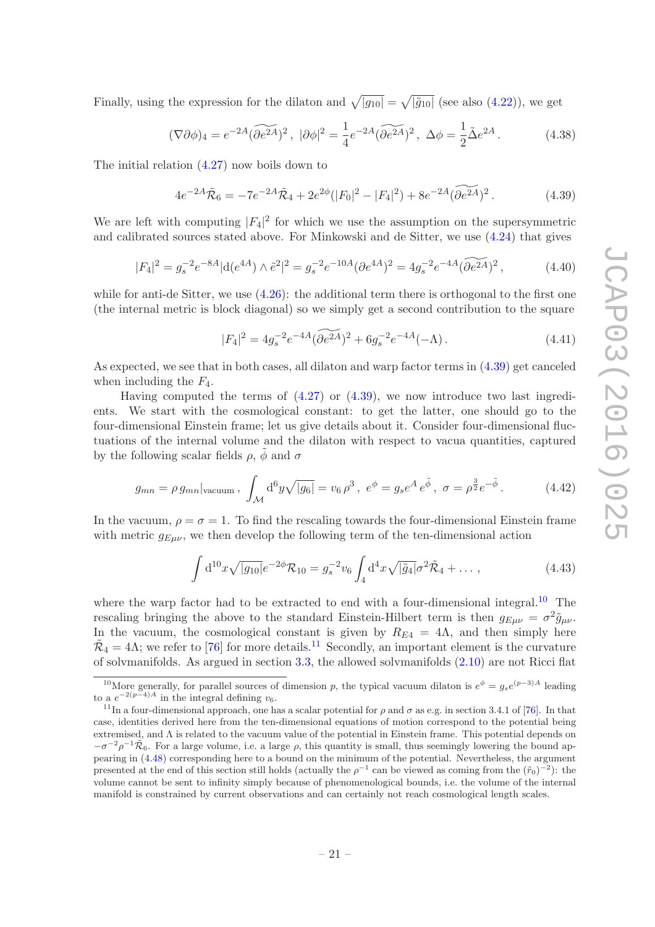Finally, using the expression for the dilaton and  $\sqrt{|g_{10}|} = \sqrt{|\tilde{g}_{10}|}$  (see also [\(4.22\)](#page-18-2)), we get

$$
(\nabla \partial \phi)_4 = e^{-2A} (\widetilde{\partial e^{2A}})^2, \quad |\partial \phi|^2 = \frac{1}{4} e^{-2A} (\widetilde{\partial e^{2A}})^2, \quad \Delta \phi = \frac{1}{2} \tilde{\Delta} e^{2A}. \tag{4.38}
$$

The initial relation [\(4.27\)](#page-20-0) now boils down to

<span id="page-22-0"></span>
$$
4e^{-2A}\tilde{\mathcal{R}}_6 = -7e^{-2A}\tilde{\mathcal{R}}_4 + 2e^{2\phi}(|F_0|^2 - |F_4|^2) + 8e^{-2A}(\widetilde{\partial e^{2A}})^2. \tag{4.39}
$$

We are left with computing  $|F_4|^2$  for which we use the assumption on the supersymmetric and calibrated sources stated above. For Minkowski and de Sitter, we use [\(4.24\)](#page-20-2) that gives

$$
|F_4|^2 = g_s^{-2} e^{-8A} |d(e^{4A}) \wedge \tilde{e}^2|^2 = g_s^{-2} e^{-10A} (\partial e^{4A})^2 = 4g_s^{-2} e^{-4A} (\widetilde{\partial e^{2A}})^2, \qquad (4.40)
$$

while for anti-de Sitter, we use  $(4.26)$ : the additional term there is orthogonal to the first one (the internal metric is block diagonal) so we simply get a second contribution to the square

$$
|F_4|^2 = 4g_s^{-2}e^{-4A}(\widetilde{\partial e^{2A}})^2 + 6g_s^{-2}e^{-4A}(-\Lambda). \tag{4.41}
$$

As expected, we see that in both cases, all dilaton and warp factor terms in [\(4.39\)](#page-22-0) get canceled when including the  $F_4$ .

Having computed the terms of  $(4.27)$  or  $(4.39)$ , we now introduce two last ingredients. We start with the cosmological constant: to get the latter, one should go to the four-dimensional Einstein frame; let us give details about it. Consider four-dimensional fluctuations of the internal volume and the dilaton with respect to vacua quantities, captured by the following scalar fields  $\rho$ ,  $\tilde{\phi}$  and  $\sigma$ 

$$
g_{mn} = \rho \, g_{mn} |_{\text{vacuum}} \, , \, \int_{\mathcal{M}} d^6 y \sqrt{|g_6|} = v_6 \, \rho^3 \, , \, e^{\phi} = g_s e^A \, e^{\tilde{\phi}} \, , \, \sigma = \rho^{\frac{3}{2}} e^{-\tilde{\phi}} \, . \tag{4.42}
$$

In the vacuum,  $\rho = \sigma = 1$ . To find the rescaling towards the four-dimensional Einstein frame with metric  $g_{E\mu\nu}$ , we then develop the following term of the ten-dimensional action

$$
\int d^{10}x \sqrt{|g_{10}|} e^{-2\phi} \mathcal{R}_{10} = g_s^{-2} v_6 \int_4 d^4x \sqrt{|\tilde{g}_4|} \sigma^2 \tilde{\mathcal{R}}_4 + \dots, \qquad (4.43)
$$

where the warp factor had to be extracted to end with a four-dimensional integral.<sup>[10](#page-22-1)</sup> The rescaling bringing the above to the standard Einstein-Hilbert term is then  $g_{E\mu\nu} = \sigma^2 \tilde{g}_{\mu\nu}$ . In the vacuum, the cosmological constant is given by  $R_{E4} = 4\Lambda$ , and then simply here  $\tilde{\mathcal{R}}_4 = 4\Lambda$ ; we refer to [\[76\]](#page-29-9) for more details.<sup>[11](#page-22-2)</sup> Secondly, an important element is the curvature of solvmanifolds. As argued in section [3.3,](#page-13-0) the allowed solvmanifolds [\(2.10\)](#page-8-3) are not Ricci flat

<span id="page-22-1"></span><sup>&</sup>lt;sup>10</sup>More generally, for parallel sources of dimension p, the typical vacuum dilaton is  $e^{\phi} = g_s e^{(p-3)A}$  leading to a  $e^{-2(p-4)A}$  in the integral defining  $v_6$ .

<span id="page-22-2"></span><sup>&</sup>lt;sup>11</sup>In a four-dimensional approach, one has a scalar potential for  $\rho$  and  $\sigma$  as e.g. in section 3.4.1 of [\[76\]](#page-29-9). In that case, identities derived here from the ten-dimensional equations of motion correspond to the potential being extremised, and Λ is related to the vacuum value of the potential in Einstein frame. This potential depends on  $-\sigma^{-2}\rho^{-1}\tilde{\mathcal{R}}_6$ . For a large volume, i.e. a large  $\rho$ , this quantity is small, thus seemingly lowering the bound appearing in [\(4.48\)](#page-23-1) corresponding here to a bound on the minimum of the potential. Nevertheless, the argument presented at the end of this section still holds (actually the  $\rho^{-1}$  can be viewed as coming from the  $(\tilde{r}_0)^{-2}$ ): the volume cannot be sent to infinity simply because of phenomenological bounds, i.e. the volume of the internal manifold is constrained by current observations and can certainly not reach cosmological length scales.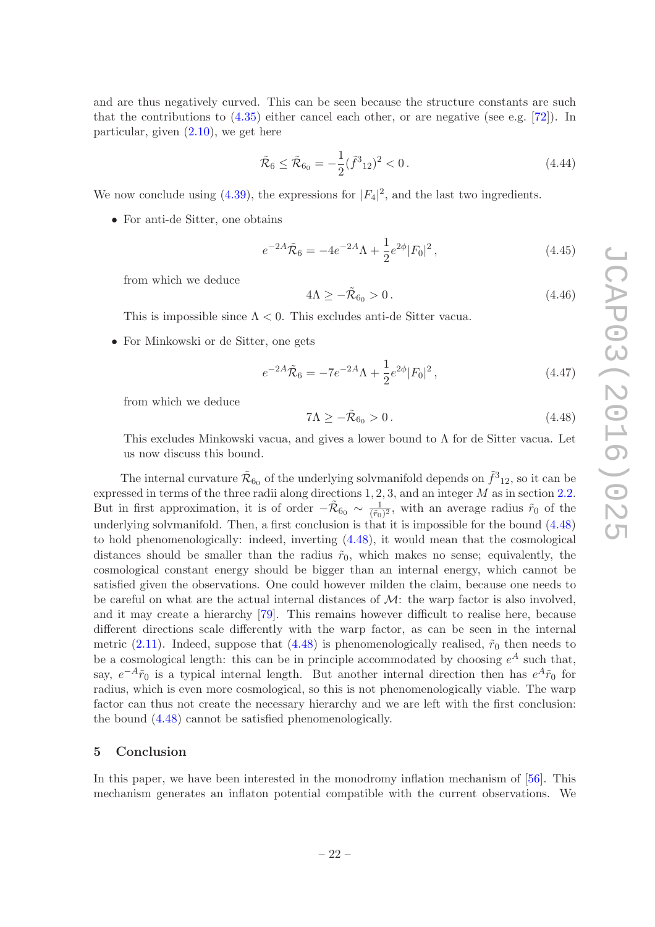and are thus negatively curved. This can be seen because the structure constants are such that the contributions to  $(4.35)$  either cancel each other, or are negative (see e.g. [\[72\]](#page-29-5)). In particular, given  $(2.10)$ , we get here

$$
\tilde{\mathcal{R}}_6 \le \tilde{\mathcal{R}}_{6_0} = -\frac{1}{2} (\tilde{f}^3_{12})^2 < 0. \tag{4.44}
$$

We now conclude using [\(4.39\)](#page-22-0), the expressions for  $|F_4|^2$ , and the last two ingredients.

• For anti-de Sitter, one obtains

$$
e^{-2A}\tilde{\mathcal{R}}_6 = -4e^{-2A}\Lambda + \frac{1}{2}e^{2\phi}|F_0|^2, \qquad (4.45)
$$

from which we deduce

$$
4\Lambda \ge -\tilde{\mathcal{R}}_{6_0} > 0. \tag{4.46}
$$

This is impossible since  $\Lambda < 0$ . This excludes anti-de Sitter vacua.

• For Minkowski or de Sitter, one gets

$$
e^{-2A}\tilde{\mathcal{R}}_6 = -7e^{-2A}\Lambda + \frac{1}{2}e^{2\phi}|F_0|^2, \qquad (4.47)
$$

from which we deduce

<span id="page-23-1"></span>
$$
7\Lambda \ge -\tilde{\mathcal{R}}_{6_0} > 0. \tag{4.48}
$$

This excludes Minkowski vacua, and gives a lower bound to  $\Lambda$  for de Sitter vacua. Let us now discuss this bound.

The internal curvature  $\tilde{\mathcal{R}}_{60}$  of the underlying solvmanifold depends on  $\tilde{f}^3{}_{12}$ , so it can be expressed in terms of the three radii along directions  $1, 2, 3$ , and an integer M as in section [2.2.](#page-5-0) But in first approximation, it is of order  $-\tilde{\mathcal{R}}_{60} \sim \frac{1}{(\tilde{r}_0)^2}$  $\frac{1}{(\tilde{r}_0)^2}$ , with an average radius  $\tilde{r}_0$  of the underlying solvmanifold. Then, a first conclusion is that it is impossible for the bound [\(4.48\)](#page-23-1) to hold phenomenologically: indeed, inverting [\(4.48\)](#page-23-1), it would mean that the cosmological distances should be smaller than the radius  $\tilde{r}_0$ , which makes no sense; equivalently, the cosmological constant energy should be bigger than an internal energy, which cannot be satisfied given the observations. One could however milden the claim, because one needs to be careful on what are the actual internal distances of  $\mathcal{M}$ : the warp factor is also involved, and it may create a hierarchy [\[79\]](#page-29-12). This remains however difficult to realise here, because different directions scale differently with the warp factor, as can be seen in the internal metric [\(2.11\)](#page-8-4). Indeed, suppose that [\(4.48\)](#page-23-1) is phenomenologically realised,  $\tilde{r}_0$  then needs to be a cosmological length: this can be in principle accommodated by choosing  $e^A$  such that, say,  $e^{-A}\tilde{r}_0$  is a typical internal length. But another internal direction then has  $e^{A}\tilde{r}_0$  for radius, which is even more cosmological, so this is not phenomenologically viable. The warp factor can thus not create the necessary hierarchy and we are left with the first conclusion: the bound [\(4.48\)](#page-23-1) cannot be satisfied phenomenologically.

## <span id="page-23-0"></span>5 Conclusion

In this paper, we have been interested in the monodromy inflation mechanism of [\[56\]](#page-28-9). This mechanism generates an inflaton potential compatible with the current observations. We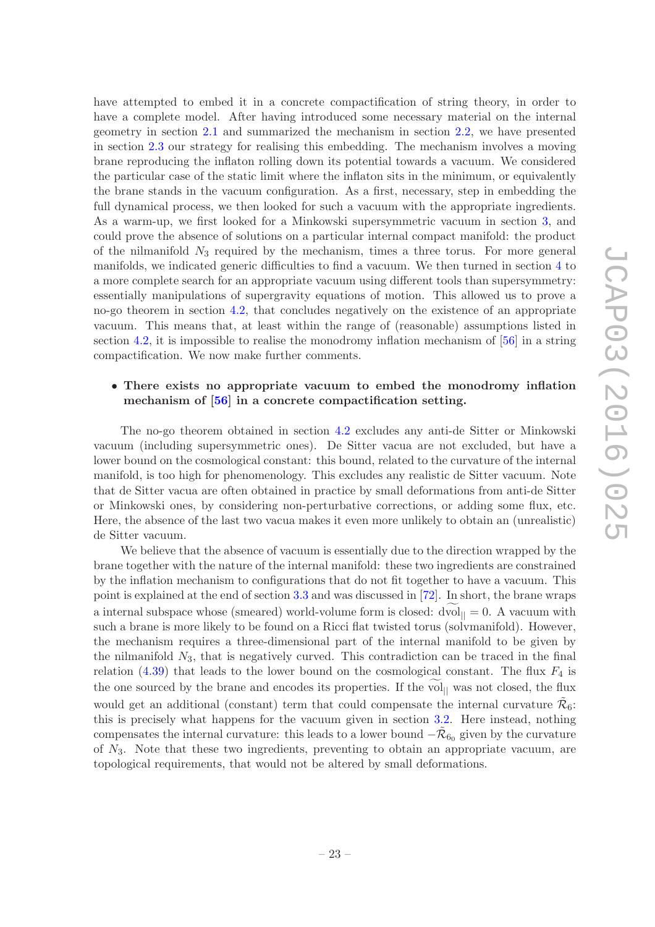have attempted to embed it in a concrete compactification of string theory, in order to have a complete model. After having introduced some necessary material on the internal geometry in section [2.1](#page-4-1) and summarized the mechanism in section [2.2,](#page-5-0) we have presented in section [2.3](#page-6-0) our strategy for realising this embedding. The mechanism involves a moving brane reproducing the inflaton rolling down its potential towards a vacuum. We considered the particular case of the static limit where the inflaton sits in the minimum, or equivalently the brane stands in the vacuum configuration. As a first, necessary, step in embedding the full dynamical process, we then looked for such a vacuum with the appropriate ingredients. As a warm-up, we first looked for a Minkowski supersymmetric vacuum in section [3,](#page-8-0) and could prove the absence of solutions on a particular internal compact manifold: the product of the nilmanifold  $N_3$  required by the mechanism, times a three torus. For more general manifolds, we indicated generic difficulties to find a vacuum. We then turned in section [4](#page-15-0) to a more complete search for an appropriate vacuum using different tools than supersymmetry: essentially manipulations of supergravity equations of motion. This allowed us to prove a no-go theorem in section [4.2,](#page-18-0) that concludes negatively on the existence of an appropriate vacuum. This means that, at least within the range of (reasonable) assumptions listed in section [4.2,](#page-18-0) it is impossible to realise the monodromy inflation mechanism of [\[56\]](#page-28-9) in a string compactification. We now make further comments.

## • There exists no appropriate vacuum to embed the monodromy inflation mechanism of [\[56](#page-28-9)] in a concrete compactification setting.

The no-go theorem obtained in section [4.2](#page-18-0) excludes any anti-de Sitter or Minkowski vacuum (including supersymmetric ones). De Sitter vacua are not excluded, but have a lower bound on the cosmological constant: this bound, related to the curvature of the internal manifold, is too high for phenomenology. This excludes any realistic de Sitter vacuum. Note that de Sitter vacua are often obtained in practice by small deformations from anti-de Sitter or Minkowski ones, by considering non-perturbative corrections, or adding some flux, etc. Here, the absence of the last two vacua makes it even more unlikely to obtain an (unrealistic) de Sitter vacuum.

We believe that the absence of vacuum is essentially due to the direction wrapped by the brane together with the nature of the internal manifold: these two ingredients are constrained by the inflation mechanism to configurations that do not fit together to have a vacuum. This point is explained at the end of section [3.3](#page-13-0) and was discussed in [\[72](#page-29-5)]. In short, the brane wraps a internal subspace whose (smeared) world-volume form is closed:  $dvol_{\parallel} = 0$ . A vacuum with such a brane is more likely to be found on a Ricci flat twisted torus (solvmanifold). However, the mechanism requires a three-dimensional part of the internal manifold to be given by the nilmanifold  $N_3$ , that is negatively curved. This contradiction can be traced in the final relation [\(4.39\)](#page-22-0) that leads to the lower bound on the cosmological constant. The flux  $F_4$  is the one sourced by the brane and encodes its properties. If the vol<sub> $||$ </sub> was not closed, the flux would get an additional (constant) term that could compensate the internal curvature  $\tilde{\mathcal{R}}_6$ : this is precisely what happens for the vacuum given in section [3.2.](#page-10-0) Here instead, nothing compensates the internal curvature: this leads to a lower bound  $-\tilde{\mathcal{R}}_{60}$  given by the curvature of  $N_3$ . Note that these two ingredients, preventing to obtain an appropriate vacuum, are topological requirements, that would not be altered by small deformations.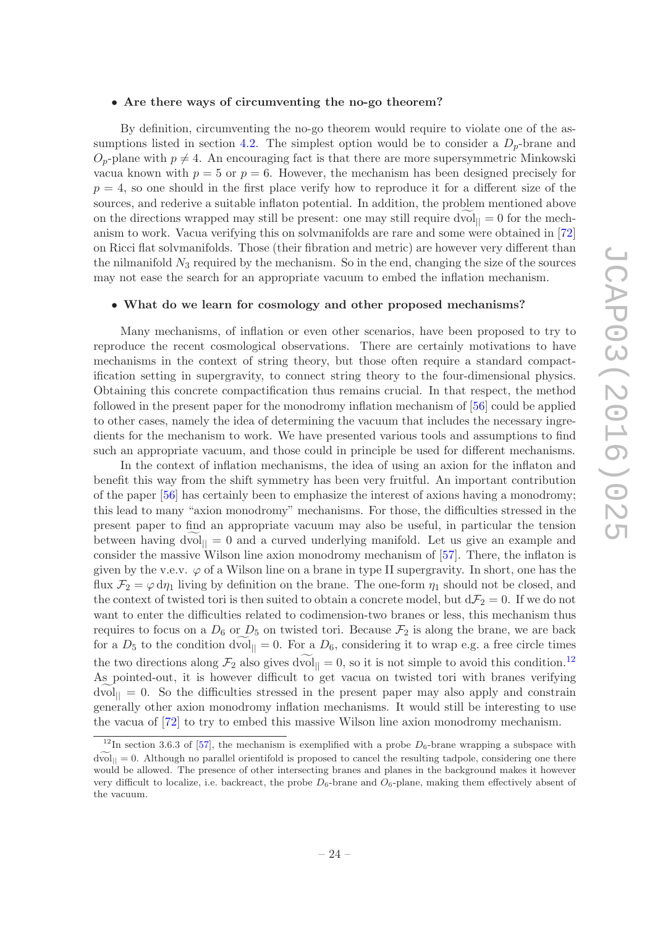#### • Are there ways of circumventing the no-go theorem?

By definition, circumventing the no-go theorem would require to violate one of the as-sumptions listed in section [4.2.](#page-18-0) The simplest option would be to consider a  $D_p$ -brane and  $O_p$ -plane with  $p \neq 4$ . An encouraging fact is that there are more supersymmetric Minkowski vacua known with  $p = 5$  or  $p = 6$ . However, the mechanism has been designed precisely for  $p = 4$ , so one should in the first place verify how to reproduce it for a different size of the sources, and rederive a suitable inflaton potential. In addition, the problem mentioned above on the directions wrapped may still be present: one may still require dvol $_{\parallel} = 0$  for the mechanism to work. Vacua verifying this on solvmanifolds are rare and some were obtained in [\[72](#page-29-5)] on Ricci flat solvmanifolds. Those (their fibration and metric) are however very different than the nilmanifold  $N_3$  required by the mechanism. So in the end, changing the size of the sources may not ease the search for an appropriate vacuum to embed the inflation mechanism.

#### • What do we learn for cosmology and other proposed mechanisms?

Many mechanisms, of inflation or even other scenarios, have been proposed to try to reproduce the recent cosmological observations. There are certainly motivations to have mechanisms in the context of string theory, but those often require a standard compactification setting in supergravity, to connect string theory to the four-dimensional physics. Obtaining this concrete compactification thus remains crucial. In that respect, the method followed in the present paper for the monodromy inflation mechanism of [\[56](#page-28-9)] could be applied to other cases, namely the idea of determining the vacuum that includes the necessary ingredients for the mechanism to work. We have presented various tools and assumptions to find such an appropriate vacuum, and those could in principle be used for different mechanisms.

In the context of inflation mechanisms, the idea of using an axion for the inflaton and benefit this way from the shift symmetry has been very fruitful. An important contribution of the paper [\[56](#page-28-9)] has certainly been to emphasize the interest of axions having a monodromy; this lead to many "axion monodromy" mechanisms. For those, the difficulties stressed in the present paper to find an appropriate vacuum may also be useful, in particular the tension between having dvol $_{\parallel} = 0$  and a curved underlying manifold. Let us give an example and consider the massive Wilson line axion monodromy mechanism of [\[57\]](#page-28-10). There, the inflaton is given by the v.e.v.  $\varphi$  of a Wilson line on a brane in type II supergravity. In short, one has the flux  $\mathcal{F}_2 = \varphi \, d\eta_1$  living by definition on the brane. The one-form  $\eta_1$  should not be closed, and the context of twisted tori is then suited to obtain a concrete model, but  $d\mathcal{F}_2 = 0$ . If we do not want to enter the difficulties related to codimension-two branes or less, this mechanism thus requires to focus on a  $D_6$  or  $D_5$  on twisted tori. Because  $\mathcal{F}_2$  is along the brane, we are back for a  $D_5$  to the condition dvol<sub> $|| = 0$ </sub>. For a  $D_6$ , considering it to wrap e.g. a free circle times the two directions along  $\mathcal{F}_2$  also gives dvol<sub> $|| = 0$ </sub> so it is not simple to avoid this condition.<sup>[12](#page-25-0)</sup> As pointed-out, it is however difficult to get vacua on twisted tori with branes verifying  $dvol_{\parallel} = 0$ . So the difficulties stressed in the present paper may also apply and constrain generally other axion monodromy inflation mechanisms. It would still be interesting to use the vacua of [\[72\]](#page-29-5) to try to embed this massive Wilson line axion monodromy mechanism.

<span id="page-25-0"></span><sup>&</sup>lt;sup>12</sup>In section 3.6.3 of [\[57\]](#page-28-10), the mechanism is exemplified with a probe  $D_6$ -brane wrapping a subspace with  $d\tilde{\text{vol}}_{\parallel} = 0$ . Although no parallel orientifold is proposed to cancel the resulting tadpole, considering one there would be allowed. The presence of other intersecting branes and planes in the background makes it however very difficult to localize, i.e. backreact, the probe  $D_6$ -brane and  $O_6$ -plane, making them effectively absent of the vacuum.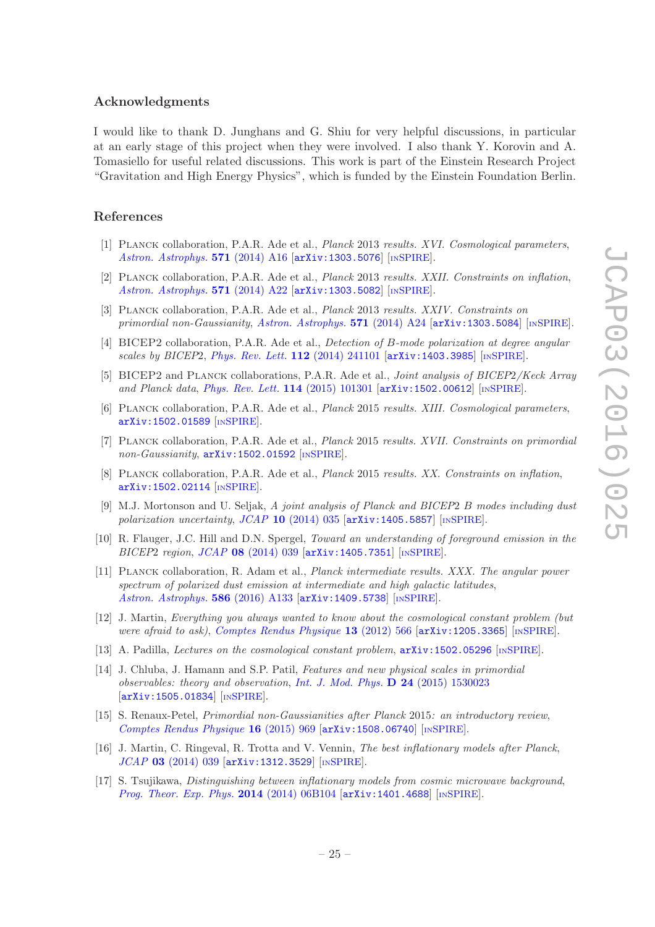#### Acknowledgments

I would like to thank D. Junghans and G. Shiu for very helpful discussions, in particular at an early stage of this project when they were involved. I also thank Y. Korovin and A. Tomasiello for useful related discussions. This work is part of the Einstein Research Project "Gravitation and High Energy Physics", which is funded by the Einstein Foundation Berlin.

#### References

- <span id="page-26-0"></span>[1] Planck collaboration, P.A.R. Ade et al., *Planck* 2013 *results. XVI. Cosmological parameters*, *[Astron. Astrophys.](http://dx.doi.org/10.1051/0004-6361/201321591)* 571 (2014) A16 [[arXiv:1303.5076](http://arxiv.org/abs/1303.5076)] [IN[SPIRE](http://inspirehep.net/search?p=find+EPRINT+arXiv:1303.5076)].
- [2] Planck collaboration, P.A.R. Ade et al., *Planck* 2013 *results. XXII. Constraints on inflation*, *[Astron. Astrophys.](http://dx.doi.org/10.1051/0004-6361/201321569)* 571 (2014) A22 [[arXiv:1303.5082](http://arxiv.org/abs/1303.5082)] [IN[SPIRE](http://inspirehep.net/search?p=find+EPRINT+arXiv:1303.5082)].
- [3] Planck collaboration, P.A.R. Ade et al., *Planck* 2013 *results. XXIV. Constraints on primordial non-Gaussianity*, *[Astron. Astrophys.](http://dx.doi.org/10.1051/0004-6361/201321554)* 571 (2014) A24 [[arXiv:1303.5084](http://arxiv.org/abs/1303.5084)] [IN[SPIRE](http://inspirehep.net/search?p=find+EPRINT+arXiv:1303.5084)].
- [4] BICEP2 collaboration, P.A.R. Ade et al., *Detection of* B*-mode polarization at degree angular scales by BICEP*2, *[Phys. Rev. Lett.](http://dx.doi.org/10.1103/PhysRevLett.112.241101)* 112 (2014) 241101 [[arXiv:1403.3985](http://arxiv.org/abs/1403.3985)] [IN[SPIRE](http://inspirehep.net/search?p=find+EPRINT+arXiv:1403.3985)].
- [5] BICEP2 and Planck collaborations, P.A.R. Ade et al., *Joint analysis of BICEP*2*/Keck Array and Planck data, [Phys. Rev. Lett.](http://dx.doi.org/10.1103/PhysRevLett.114.101301)* **114** (2015) 101301  $\left[\text{arXiv:1502.00612}\right]$  $\left[\text{arXiv:1502.00612}\right]$  $\left[\text{arXiv:1502.00612}\right]$  [IN[SPIRE](http://inspirehep.net/search?p=find+EPRINT+arXiv:1502.00612)].
- [6] Planck collaboration, P.A.R. Ade et al., *Planck* 2015 *results. XIII. Cosmological parameters*, [arXiv:1502.01589](http://arxiv.org/abs/1502.01589) [IN[SPIRE](http://inspirehep.net/search?p=find+EPRINT+arXiv:1502.01589)].
- [7] Planck collaboration, P.A.R. Ade et al., *Planck* 2015 *results. XVII. Constraints on primordial non-Gaussianity*, [arXiv:1502.01592](http://arxiv.org/abs/1502.01592) [IN[SPIRE](http://inspirehep.net/search?p=find+EPRINT+arXiv:1502.01592)].
- <span id="page-26-1"></span>[8] Planck collaboration, P.A.R. Ade et al., *Planck* 2015 *results. XX. Constraints on inflation*, [arXiv:1502.02114](http://arxiv.org/abs/1502.02114) [IN[SPIRE](http://inspirehep.net/search?p=find+EPRINT+arXiv:1502.02114)].
- <span id="page-26-2"></span>[9] M.J. Mortonson and U. Seljak, *A joint analysis of Planck and BICEP*2 B *modes including dust polarization uncertainty*, *JCAP* 10 [\(2014\) 035](http://dx.doi.org/10.1088/1475-7516/2014/10/035) [[arXiv:1405.5857](http://arxiv.org/abs/1405.5857)] [IN[SPIRE](http://inspirehep.net/search?p=find+EPRINT+arXiv:1405.5857)].
- [10] R. Flauger, J.C. Hill and D.N. Spergel, *Toward an understanding of foreground emission in the BICEP*2 *region*, *JCAP* 08 [\(2014\) 039](http://dx.doi.org/10.1088/1475-7516/2014/08/039) [[arXiv:1405.7351](http://arxiv.org/abs/1405.7351)] [IN[SPIRE](http://inspirehep.net/search?p=find+EPRINT+arXiv:1405.7351)].
- <span id="page-26-3"></span>[11] Planck collaboration, R. Adam et al., *Planck intermediate results. XXX. The angular power spectrum of polarized dust emission at intermediate and high galactic latitudes*, *[Astron. Astrophys.](http://dx.doi.org/10.1051/0004-6361/201425034)* 586 (2016) A133 [[arXiv:1409.5738](http://arxiv.org/abs/1409.5738)] [IN[SPIRE](http://inspirehep.net/search?p=find+EPRINT+arXiv:1409.5738)].
- <span id="page-26-4"></span>[12] J. Martin, *Everything you always wanted to know about the cosmological constant problem (but were afraid to ask)*, *[Comptes Rendus Physique](http://dx.doi.org/10.1016/j.crhy.2012.04.008)* 13 (2012) 566 [[arXiv:1205.3365](http://arxiv.org/abs/1205.3365)] [IN[SPIRE](http://inspirehep.net/search?p=find+EPRINT+arXiv:1205.3365)].
- <span id="page-26-5"></span>[13] A. Padilla, *Lectures on the cosmological constant problem*, [arXiv:1502.05296](http://arxiv.org/abs/1502.05296) [IN[SPIRE](http://inspirehep.net/search?p=find+EPRINT+arXiv:1502.05296)].
- <span id="page-26-6"></span>[14] J. Chluba, J. Hamann and S.P. Patil, *Features and new physical scales in primordial observables: theory and observation*, *[Int. J. Mod. Phys.](http://dx.doi.org/10.1142/S0218271815300232)* D 24 (2015) 1530023 [[arXiv:1505.01834](http://arxiv.org/abs/1505.01834)] [IN[SPIRE](http://inspirehep.net/search?p=find+EPRINT+arXiv:1505.01834)].
- <span id="page-26-7"></span>[15] S. Renaux-Petel, *Primordial non-Gaussianities after Planck* 2015*: an introductory review*, *[Comptes Rendus Physique](http://dx.doi.org/10.1016/j.crhy.2015.08.003)* **16** (2015) 969 [[arXiv:1508.06740](http://arxiv.org/abs/1508.06740)] [IN[SPIRE](http://inspirehep.net/search?p=find+EPRINT+arXiv:1508.06740)].
- <span id="page-26-8"></span>[16] J. Martin, C. Ringeval, R. Trotta and V. Vennin, *The best inflationary models after Planck*, *JCAP* 03 [\(2014\) 039](http://dx.doi.org/10.1088/1475-7516/2014/03/039) [[arXiv:1312.3529](http://arxiv.org/abs/1312.3529)] [IN[SPIRE](http://inspirehep.net/search?p=find+EPRINT+arXiv:1312.3529)].
- [17] S. Tsujikawa, *Distinguishing between inflationary models from cosmic microwave background*, *[Prog. Theor. Exp. Phys.](http://dx.doi.org/10.1093/ptep/ptu047)* 2014 (2014) 06B104 [[arXiv:1401.4688](http://arxiv.org/abs/1401.4688)] [IN[SPIRE](http://inspirehep.net/search?p=find+EPRINT+arXiv:1401.4688)].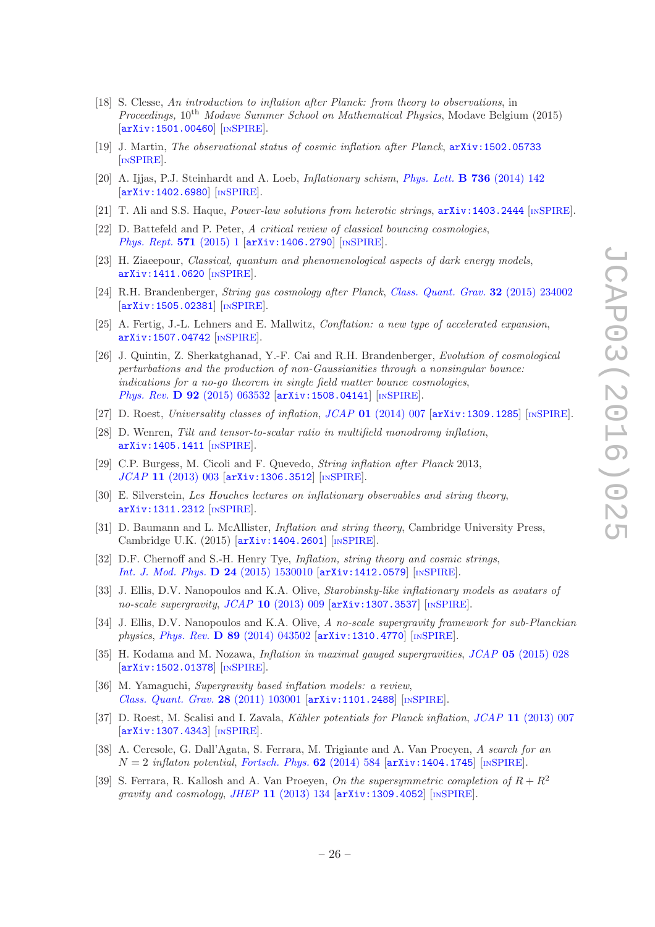- [18] S. Clesse, *An introduction to inflation after Planck: from theory to observations*, in *Proceedings,* 10th *Modave Summer School on Mathematical Physics*, Modave Belgium (2015) [[arXiv:1501.00460](http://arxiv.org/abs/1501.00460)] [IN[SPIRE](http://inspirehep.net/search?p=find+EPRINT+arXiv:1501.00460)].
- <span id="page-27-0"></span>[19] J. Martin, *The observational status of cosmic inflation after Planck*, [arXiv:1502.05733](http://arxiv.org/abs/1502.05733) [IN[SPIRE](http://inspirehep.net/search?p=find+EPRINT+arXiv:1502.05733)].
- <span id="page-27-1"></span>[20] A. Ijjas, P.J. Steinhardt and A. Loeb, *Inflationary schism*, *[Phys. Lett.](http://dx.doi.org/10.1016/j.physletb.2014.07.012)* B 736 (2014) 142 [[arXiv:1402.6980](http://arxiv.org/abs/1402.6980)] [IN[SPIRE](http://inspirehep.net/search?p=find+EPRINT+arXiv:1402.6980)].
- [21] T. Ali and S.S. Haque, *Power-law solutions from heterotic strings*, [arXiv:1403.2444](http://arxiv.org/abs/1403.2444) [IN[SPIRE](http://inspirehep.net/search?p=find+EPRINT+arXiv:1403.2444)].
- [22] D. Battefeld and P. Peter, *A critical review of classical bouncing cosmologies*, *[Phys. Rept.](http://dx.doi.org/10.1016/j.physrep.2014.12.004)* 571 (2015) 1  $\text{arXiv:1406.2790}$  $\text{arXiv:1406.2790}$  $\text{arXiv:1406.2790}$  [IN[SPIRE](http://inspirehep.net/search?p=find+EPRINT+arXiv:1406.2790)].
- [23] H. Ziaeepour, *Classical, quantum and phenomenological aspects of dark energy models*, [arXiv:1411.0620](http://arxiv.org/abs/1411.0620) [IN[SPIRE](http://inspirehep.net/search?p=find+EPRINT+arXiv:1411.0620)].
- [24] R.H. Brandenberger, *String gas cosmology after Planck*, *[Class. Quant. Grav.](http://dx.doi.org/10.1088/0264-9381/32/23/234002)* 32 (2015) 234002 [[arXiv:1505.02381](http://arxiv.org/abs/1505.02381)] [IN[SPIRE](http://inspirehep.net/search?p=find+EPRINT+arXiv:1505.02381)].
- [25] A. Fertig, J.-L. Lehners and E. Mallwitz, *Conflation: a new type of accelerated expansion*, [arXiv:1507.04742](http://arxiv.org/abs/1507.04742) [IN[SPIRE](http://inspirehep.net/search?p=find+EPRINT+arXiv:1507.04742)].
- <span id="page-27-2"></span>[26] J. Quintin, Z. Sherkatghanad, Y.-F. Cai and R.H. Brandenberger, *Evolution of cosmological perturbations and the production of non-Gaussianities through a nonsingular bounce: indications for a no-go theorem in single field matter bounce cosmologies*, *Phys. Rev.* **D 92** [\(2015\) 063532](http://dx.doi.org/10.1103/PhysRevD.92.063532) [[arXiv:1508.04141](http://arxiv.org/abs/1508.04141)] [IN[SPIRE](http://inspirehep.net/search?p=find+EPRINT+arXiv:1508.04141)].
- <span id="page-27-3"></span>[27] D. Roest, *Universality classes of inflation*, *JCAP* 01 [\(2014\) 007](http://dx.doi.org/10.1088/1475-7516/2014/01/007) [[arXiv:1309.1285](http://arxiv.org/abs/1309.1285)] [IN[SPIRE](http://inspirehep.net/search?p=find+EPRINT+arXiv:1309.1285)].
- <span id="page-27-4"></span>[28] D. Wenren, *Tilt and tensor-to-scalar ratio in multifield monodromy inflation*, [arXiv:1405.1411](http://arxiv.org/abs/1405.1411) [IN[SPIRE](http://inspirehep.net/search?p=find+EPRINT+arXiv:1405.1411)].
- <span id="page-27-5"></span>[29] C.P. Burgess, M. Cicoli and F. Quevedo, *String inflation after Planck* 2013, *JCAP* 11 [\(2013\) 003](http://dx.doi.org/10.1088/1475-7516/2013/11/003) [[arXiv:1306.3512](http://arxiv.org/abs/1306.3512)] [IN[SPIRE](http://inspirehep.net/search?p=find+EPRINT+arXiv:1306.3512)].
- [30] E. Silverstein, *Les Houches lectures on inflationary observables and string theory*, [arXiv:1311.2312](http://arxiv.org/abs/1311.2312) [IN[SPIRE](http://inspirehep.net/search?p=find+EPRINT+arXiv:1311.2312)].
- [31] D. Baumann and L. McAllister, *Inflation and string theory*, Cambridge University Press, Cambridge U.K. (2015) [[arXiv:1404.2601](http://arxiv.org/abs/1404.2601)] [IN[SPIRE](http://inspirehep.net/search?p=find+EPRINT+arXiv:1404.2601)].
- <span id="page-27-6"></span>[32] D.F. Chernoff and S.-H. Henry Tye, *Inflation, string theory and cosmic strings*, *[Int. J. Mod. Phys.](http://dx.doi.org/10.1142/S0218271815300104)* **D 24** (2015) 1530010 [[arXiv:1412.0579](http://arxiv.org/abs/1412.0579)] [IN[SPIRE](http://inspirehep.net/search?p=find+EPRINT+arXiv:1412.0579)].
- <span id="page-27-7"></span>[33] J. Ellis, D.V. Nanopoulos and K.A. Olive, *Starobinsky-like inflationary models as avatars of no-scale supergravity*, *JCAP* 10 [\(2013\) 009](http://dx.doi.org/10.1088/1475-7516/2013/10/009) [[arXiv:1307.3537](http://arxiv.org/abs/1307.3537)] [IN[SPIRE](http://inspirehep.net/search?p=find+EPRINT+arXiv:1307.3537)].
- [34] J. Ellis, D.V. Nanopoulos and K.A. Olive, *A no-scale supergravity framework for sub-Planckian physics*, *Phys. Rev.* D 89 [\(2014\) 043502](http://dx.doi.org/10.1103/PhysRevD.89.043502) [[arXiv:1310.4770](http://arxiv.org/abs/1310.4770)] [IN[SPIRE](http://inspirehep.net/search?p=find+EPRINT+arXiv:1310.4770)].
- <span id="page-27-8"></span>[35] H. Kodama and M. Nozawa, *Inflation in maximal gauged supergravities*, *JCAP* 05 [\(2015\) 028](http://dx.doi.org/10.1088/1475-7516/2015/05/028) [[arXiv:1502.01378](http://arxiv.org/abs/1502.01378)] [IN[SPIRE](http://inspirehep.net/search?p=find+EPRINT+arXiv:1502.01378)].
- <span id="page-27-9"></span>[36] M. Yamaguchi, *Supergravity based inflation models: a review*, *[Class. Quant. Grav.](http://dx.doi.org/10.1088/0264-9381/28/10/103001)* 28 (2011) 103001 [[arXiv:1101.2488](http://arxiv.org/abs/1101.2488)] [IN[SPIRE](http://inspirehep.net/search?p=find+EPRINT+arXiv:1101.2488)].
- <span id="page-27-10"></span>[37] D. Roest, M. Scalisi and I. Zavala, *K¨ahler potentials for Planck inflation*, *JCAP* 11 [\(2013\) 007](http://dx.doi.org/10.1088/1475-7516/2013/11/007) [[arXiv:1307.4343](http://arxiv.org/abs/1307.4343)] [IN[SPIRE](http://inspirehep.net/search?p=find+EPRINT+arXiv:1307.4343)].
- <span id="page-27-11"></span>[38] A. Ceresole, G. Dall'Agata, S. Ferrara, M. Trigiante and A. Van Proeyen, *A search for an*  $N = 2$  *inflaton potential, [Fortsch. Phys.](http://dx.doi.org/10.1002/prop.201400019)* **62** (2014) 584  $[$ [arXiv:1404.1745](http://arxiv.org/abs/1404.1745) $]$  [IN[SPIRE](http://inspirehep.net/search?p=find+EPRINT+arXiv:1404.1745)].
- <span id="page-27-12"></span>[39] S. Ferrara, R. Kallosh and A. Van Proeyen, *On the supersymmetric completion of*  $R + R^2$ *gravity and cosmology*, *JHEP* 11 [\(2013\) 134](http://dx.doi.org/10.1007/JHEP11(2013)134) [[arXiv:1309.4052](http://arxiv.org/abs/1309.4052)] [IN[SPIRE](http://inspirehep.net/search?p=find+EPRINT+arXiv:1309.4052)].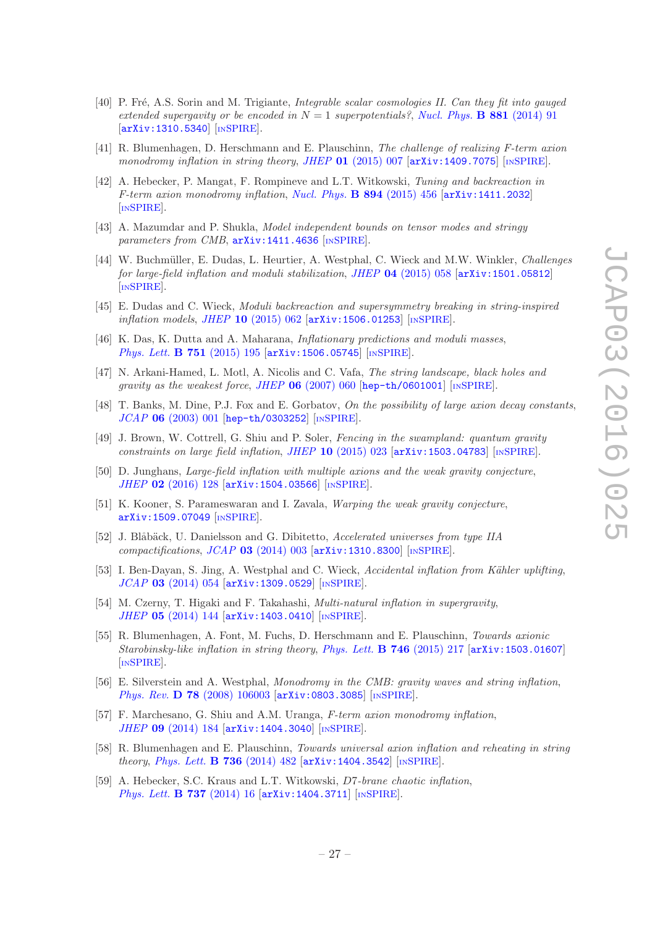- <span id="page-28-0"></span>[40] P. Fré, A.S. Sorin and M. Trigiante, *Integrable scalar cosmologies II. Can they fit into gauged extended supergavity or be encoded in*  $N = 1$  *superpotentials?, [Nucl. Phys.](http://dx.doi.org/10.1016/j.nuclphysb.2014.01.024)* **B 881** (2014) 91 [[arXiv:1310.5340](http://arxiv.org/abs/1310.5340)] [IN[SPIRE](http://inspirehep.net/search?p=find+EPRINT+arXiv:1310.5340)].
- <span id="page-28-1"></span>[41] R. Blumenhagen, D. Herschmann and E. Plauschinn, *The challenge of realizing F-term axion monodromy inflation in string theory, JHEP* 01 [\(2015\) 007](http://dx.doi.org/10.1007/JHEP01(2015)007) [[arXiv:1409.7075](http://arxiv.org/abs/1409.7075)] [IN[SPIRE](http://inspirehep.net/search?p=find+EPRINT+arXiv:1409.7075)].
- [42] A. Hebecker, P. Mangat, F. Rompineve and L.T. Witkowski, *Tuning and backreaction in F-term axion monodromy inflation*, *[Nucl. Phys.](http://dx.doi.org/10.1016/j.nuclphysb.2015.03.015)* B 894 (2015) 456 [[arXiv:1411.2032](http://arxiv.org/abs/1411.2032)] [IN[SPIRE](http://inspirehep.net/search?p=find+EPRINT+arXiv:1411.2032)].
- [43] A. Mazumdar and P. Shukla, *Model independent bounds on tensor modes and stringy parameters from CMB*,  $arXiv:1411.4636$  [IN[SPIRE](http://inspirehep.net/search?p=find+EPRINT+arXiv:1411.4636)].
- [44] W. Buchm¨uller, E. Dudas, L. Heurtier, A. Westphal, C. Wieck and M.W. Winkler, *Challenges for large-field inflation and moduli stabilization*, *JHEP* 04 [\(2015\) 058](http://dx.doi.org/10.1007/JHEP04(2015)058) [[arXiv:1501.05812](http://arxiv.org/abs/1501.05812)] [IN[SPIRE](http://inspirehep.net/search?p=find+EPRINT+arXiv:1501.05812)].
- [45] E. Dudas and C. Wieck, *Moduli backreaction and supersymmetry breaking in string-inspired inflation models, JHEP* 10 [\(2015\) 062](http://dx.doi.org/10.1007/JHEP10(2015)062) [[arXiv:1506.01253](http://arxiv.org/abs/1506.01253)] [IN[SPIRE](http://inspirehep.net/search?p=find+EPRINT+arXiv:1506.01253)].
- <span id="page-28-2"></span>[46] K. Das, K. Dutta and A. Maharana, *Inflationary predictions and moduli masses*, *[Phys. Lett.](http://dx.doi.org/10.1016/j.physletb.2015.10.041)* **B 751** (2015) 195  $\left[ \text{arXiv:1506.05745} \right]$  $\left[ \text{arXiv:1506.05745} \right]$  $\left[ \text{arXiv:1506.05745} \right]$   $\left[ \text{INSPIRE} \right]$  $\left[ \text{INSPIRE} \right]$  $\left[ \text{INSPIRE} \right]$ .
- <span id="page-28-3"></span>[47] N. Arkani-Hamed, L. Motl, A. Nicolis and C. Vafa, *The string landscape, black holes and gravity as the weakest force*, *JHEP* 06 [\(2007\) 060](http://dx.doi.org/10.1088/1126-6708/2007/06/060) [[hep-th/0601001](http://arxiv.org/abs/hep-th/0601001)] [IN[SPIRE](http://inspirehep.net/search?p=find+EPRINT+hep-th/0601001)].
- <span id="page-28-4"></span>[48] T. Banks, M. Dine, P.J. Fox and E. Gorbatov, *On the possibility of large axion decay constants*, *JCAP* 06 [\(2003\) 001](http://dx.doi.org/10.1088/1475-7516/2003/06/001) [[hep-th/0303252](http://arxiv.org/abs/hep-th/0303252)] [IN[SPIRE](http://inspirehep.net/search?p=find+EPRINT+hep-th/0303252)].
- <span id="page-28-5"></span>[49] J. Brown, W. Cottrell, G. Shiu and P. Soler, *Fencing in the swampland: quantum gravity constraints on large field inflation*, *JHEP* 10 [\(2015\) 023](http://dx.doi.org/10.1007/JHEP10(2015)023) [[arXiv:1503.04783](http://arxiv.org/abs/1503.04783)] [IN[SPIRE](http://inspirehep.net/search?p=find+EPRINT+arXiv:1503.04783)].
- [50] D. Junghans, *Large-field inflation with multiple axions and the weak gravity conjecture*, *JHEP* 02 [\(2016\) 128](http://dx.doi.org/10.1007/JHEP02(2016)128) [[arXiv:1504.03566](http://arxiv.org/abs/1504.03566)] [IN[SPIRE](http://inspirehep.net/search?p=find+EPRINT+arXiv:1504.03566)].
- <span id="page-28-6"></span>[51] K. Kooner, S. Parameswaran and I. Zavala, *Warping the weak gravity conjecture*, [arXiv:1509.07049](http://arxiv.org/abs/1509.07049) [IN[SPIRE](http://inspirehep.net/search?p=find+EPRINT+arXiv:1509.07049)].
- <span id="page-28-7"></span>[52] J. Blåbäck, U. Danielsson and G. Dibitetto, *Accelerated universes from type IIA compactifications*, *JCAP* 03 [\(2014\) 003](http://dx.doi.org/10.1088/1475-7516/2014/03/003) [[arXiv:1310.8300](http://arxiv.org/abs/1310.8300)] [IN[SPIRE](http://inspirehep.net/search?p=find+EPRINT+arXiv:1310.8300)].
- [53] I. Ben-Dayan, S. Jing, A. Westphal and C. Wieck, *Accidental inflation from Kähler uplifting*, *JCAP* 03 [\(2014\) 054](http://dx.doi.org/10.1088/1475-7516/2014/03/054) [[arXiv:1309.0529](http://arxiv.org/abs/1309.0529)] [IN[SPIRE](http://inspirehep.net/search?p=find+EPRINT+arXiv:1309.0529)].
- [54] M. Czerny, T. Higaki and F. Takahashi, *Multi-natural inflation in supergravity*, *JHEP* 05 [\(2014\) 144](http://dx.doi.org/10.1007/JHEP05(2014)144) [[arXiv:1403.0410](http://arxiv.org/abs/1403.0410)] [IN[SPIRE](http://inspirehep.net/search?p=find+EPRINT+arXiv:1403.0410)].
- <span id="page-28-8"></span>[55] R. Blumenhagen, A. Font, M. Fuchs, D. Herschmann and E. Plauschinn, *Towards axionic Starobinsky-like inflation in string theory*, *[Phys. Lett.](http://dx.doi.org/10.1016/j.physletb.2015.05.001)* B 746 (2015) 217 [[arXiv:1503.01607](http://arxiv.org/abs/1503.01607)] [IN[SPIRE](http://inspirehep.net/search?p=find+EPRINT+arXiv:1503.01607)].
- <span id="page-28-9"></span>[56] E. Silverstein and A. Westphal, *Monodromy in the CMB: gravity waves and string inflation*, *Phys. Rev.* **D 78** [\(2008\) 106003](http://dx.doi.org/10.1103/PhysRevD.78.106003) [[arXiv:0803.3085](http://arxiv.org/abs/0803.3085)] [IN[SPIRE](http://inspirehep.net/search?p=find+EPRINT+arXiv:0803.3085)].
- <span id="page-28-10"></span>[57] F. Marchesano, G. Shiu and A.M. Uranga, *F-term axion monodromy inflation*, *JHEP* 09 [\(2014\) 184](http://dx.doi.org/10.1007/JHEP09(2014)184) [[arXiv:1404.3040](http://arxiv.org/abs/1404.3040)] [IN[SPIRE](http://inspirehep.net/search?p=find+EPRINT+arXiv:1404.3040)].
- [58] R. Blumenhagen and E. Plauschinn, *Towards universal axion inflation and reheating in string theory*, *[Phys. Lett.](http://dx.doi.org/10.1016/j.physletb.2014.08.007)* B 736 (2014) 482 [[arXiv:1404.3542](http://arxiv.org/abs/1404.3542)] [IN[SPIRE](http://inspirehep.net/search?p=find+EPRINT+arXiv:1404.3542)].
- [59] A. Hebecker, S.C. Kraus and L.T. Witkowski, D7*-brane chaotic inflation*, *[Phys. Lett.](http://dx.doi.org/10.1016/j.physletb.2014.08.028)* **B 737** (2014) 16  $\left[\text{arXiv}:1404.3711\right]$   $\left[\text{insPIRE}\right]$ .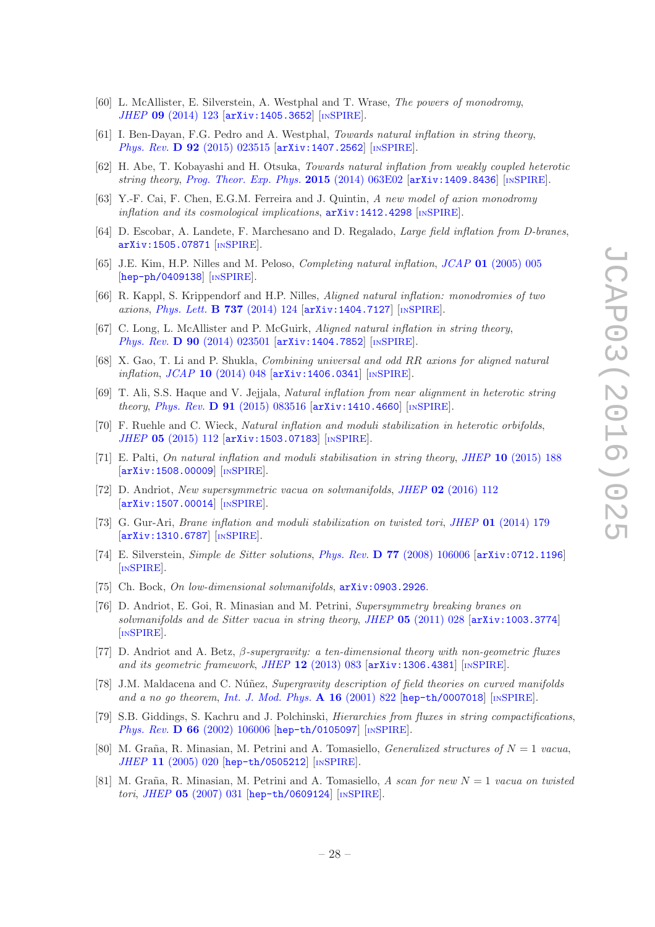- [60] L. McAllister, E. Silverstein, A. Westphal and T. Wrase, *The powers of monodromy*, *JHEP* 09 [\(2014\) 123](http://dx.doi.org/10.1007/JHEP09(2014)123) [[arXiv:1405.3652](http://arxiv.org/abs/1405.3652)] [IN[SPIRE](http://inspirehep.net/search?p=find+EPRINT+arXiv:1405.3652)].
- [61] I. Ben-Dayan, F.G. Pedro and A. Westphal, *Towards natural inflation in string theory*, *Phys. Rev.* **D 92** [\(2015\) 023515](http://dx.doi.org/10.1103/PhysRevD.92.023515) [[arXiv:1407.2562](http://arxiv.org/abs/1407.2562)] [IN[SPIRE](http://inspirehep.net/search?p=find+EPRINT+arXiv:1407.2562)].
- [62] H. Abe, T. Kobayashi and H. Otsuka, *Towards natural inflation from weakly coupled heterotic string theory*, *[Prog. Theor. Exp. Phys.](http://dx.doi.org/10.1093/ptep/ptv075)* 2015 (2014) 063E02 [[arXiv:1409.8436](http://arxiv.org/abs/1409.8436)] [IN[SPIRE](http://inspirehep.net/search?p=find+EPRINT+arXiv:1409.8436)].
- [63] Y.-F. Cai, F. Chen, E.G.M. Ferreira and J. Quintin, *A new model of axion monodromy inflation and its cosmological implications*,  $arXiv:1412.4298$  [IN[SPIRE](http://inspirehep.net/search?p=find+EPRINT+arXiv:1412.4298)].
- <span id="page-29-0"></span>[64] D. Escobar, A. Landete, F. Marchesano and D. Regalado, *Large field inflation from D-branes*, [arXiv:1505.07871](http://arxiv.org/abs/1505.07871) [IN[SPIRE](http://inspirehep.net/search?p=find+EPRINT+arXiv:1505.07871)].
- <span id="page-29-1"></span>[65] J.E. Kim, H.P. Nilles and M. Peloso, *Completing natural inflation*, *JCAP* 01 [\(2005\) 005](http://dx.doi.org/10.1088/1475-7516/2005/01/005) [[hep-ph/0409138](http://arxiv.org/abs/hep-ph/0409138)] [IN[SPIRE](http://inspirehep.net/search?p=find+EPRINT+hep-ph/0409138)].
- <span id="page-29-2"></span>[66] R. Kappl, S. Krippendorf and H.P. Nilles, *Aligned natural inflation: monodromies of two axions*, *[Phys. Lett.](http://dx.doi.org/10.1016/j.physletb.2014.08.045)* **B 737** (2014) 124  $\left[$ [arXiv:1404.7127](http://arxiv.org/abs/1404.7127) $\right]$   $\left[$ IN[SPIRE](http://inspirehep.net/search?p=find+EPRINT+arXiv:1404.7127).
- <span id="page-29-3"></span>[67] C. Long, L. McAllister and P. McGuirk, *Aligned natural inflation in string theory*, *Phys. Rev.* **D 90** [\(2014\) 023501](http://dx.doi.org/10.1103/PhysRevD.90.023501) [[arXiv:1404.7852](http://arxiv.org/abs/1404.7852)] [IN[SPIRE](http://inspirehep.net/search?p=find+EPRINT+arXiv:1404.7852)].
- [68] X. Gao, T. Li and P. Shukla, *Combining universal and odd* RR *axions for aligned natural inflation*, *JCAP* 10 [\(2014\) 048](http://dx.doi.org/10.1088/1475-7516/2014/10/048) [[arXiv:1406.0341](http://arxiv.org/abs/1406.0341)] [IN[SPIRE](http://inspirehep.net/search?p=find+EPRINT+arXiv:1406.0341)].
- [69] T. Ali, S.S. Haque and V. Jejjala, *Natural inflation from near alignment in heterotic string theory*, *Phys. Rev.* D 91 [\(2015\) 083516](http://dx.doi.org/10.1103/PhysRevD.91.083516) [[arXiv:1410.4660](http://arxiv.org/abs/1410.4660)] [IN[SPIRE](http://inspirehep.net/search?p=find+EPRINT+arXiv:1410.4660)].
- [70] F. Ruehle and C. Wieck, *Natural inflation and moduli stabilization in heterotic orbifolds*, *JHEP* 05 [\(2015\) 112](http://dx.doi.org/10.1007/JHEP05(2015)112) [[arXiv:1503.07183](http://arxiv.org/abs/1503.07183)] [IN[SPIRE](http://inspirehep.net/search?p=find+EPRINT+arXiv:1503.07183)].
- <span id="page-29-4"></span>[71] E. Palti, *On natural inflation and moduli stabilisation in string theory*, *JHEP* 10 [\(2015\) 188](http://dx.doi.org/10.1007/JHEP10(2015)188) [[arXiv:1508.00009](http://arxiv.org/abs/1508.00009)] [IN[SPIRE](http://inspirehep.net/search?p=find+EPRINT+arXiv:1508.00009)].
- <span id="page-29-5"></span>[72] D. Andriot, *New supersymmetric vacua on solvmanifolds*, *JHEP* 02 [\(2016\) 112](http://dx.doi.org/10.1007/JHEP02(2016)112)  $\left[$ [arXiv:1507.00014](http://arxiv.org/abs/1507.00014) $\right]$  $\left[$ IN[SPIRE](http://inspirehep.net/search?p=find+EPRINT+arXiv:1507.00014) $\right]$ .
- <span id="page-29-6"></span>[73] G. Gur-Ari, *Brane inflation and moduli stabilization on twisted tori*, *JHEP* 01 [\(2014\) 179](http://dx.doi.org/10.1007/JHEP01(2014)179) [[arXiv:1310.6787](http://arxiv.org/abs/1310.6787)] [IN[SPIRE](http://inspirehep.net/search?p=find+EPRINT+arXiv:1310.6787)].
- <span id="page-29-7"></span>[74] E. Silverstein, *Simple de Sitter solutions*, *Phys. Rev.* D 77 [\(2008\) 106006](http://dx.doi.org/10.1103/PhysRevD.77.106006) [[arXiv:0712.1196](http://arxiv.org/abs/0712.1196)] [IN[SPIRE](http://inspirehep.net/search?p=find+EPRINT+arXiv:0712.1196)].
- <span id="page-29-8"></span>[75] Ch. Bock, *On low-dimensional solvmanifolds*,  $arXiv:0903.2926$ .
- <span id="page-29-9"></span>[76] D. Andriot, E. Goi, R. Minasian and M. Petrini, *Supersymmetry breaking branes on solvmanifolds and de Sitter vacua in string theory*, *JHEP* 05 [\(2011\) 028](http://dx.doi.org/10.1007/JHEP05(2011)028) [[arXiv:1003.3774](http://arxiv.org/abs/1003.3774)] [IN[SPIRE](http://inspirehep.net/search?p=find+EPRINT+arXiv:1003.3774)].
- <span id="page-29-10"></span>[77] D. Andriot and A. Betz, β*-supergravity: a ten-dimensional theory with non-geometric fluxes and its geometric framework, JHEP* 12 [\(2013\) 083](http://dx.doi.org/10.1007/JHEP12(2013)083) [[arXiv:1306.4381](http://arxiv.org/abs/1306.4381)] [IN[SPIRE](http://inspirehep.net/search?p=find+EPRINT+arXiv:1306.4381)].
- <span id="page-29-11"></span>[78] J.M. Maldacena and C. Núñez, *Supergravity description of field theories on curved manifolds and a no go theorem*, *[Int. J. Mod. Phys.](http://dx.doi.org/10.1142/S0217751X01003935)* A 16 (2001) 822 [[hep-th/0007018](http://arxiv.org/abs/hep-th/0007018)] [IN[SPIRE](http://inspirehep.net/search?p=find+EPRINT+hep-th/0007018)].
- <span id="page-29-12"></span>[79] S.B. Giddings, S. Kachru and J. Polchinski, *Hierarchies from fluxes in string compactifications*, *Phys. Rev.* D 66 [\(2002\) 106006](http://dx.doi.org/10.1103/PhysRevD.66.106006) [[hep-th/0105097](http://arxiv.org/abs/hep-th/0105097)] [IN[SPIRE](http://inspirehep.net/search?p=find+EPRINT+hep-th/0105097)].
- <span id="page-29-13"></span>[80] M. Graña, R. Minasian, M. Petrini and A. Tomasiello, *Generalized structures of*  $N = 1$  *vacua*, *JHEP* 11 [\(2005\) 020](http://dx.doi.org/10.1088/1126-6708/2005/11/020) [[hep-th/0505212](http://arxiv.org/abs/hep-th/0505212)] [IN[SPIRE](http://inspirehep.net/search?p=find+EPRINT+hep-th/0505212)].
- <span id="page-29-14"></span>[81] M. Gra˜na, R. Minasian, M. Petrini and A. Tomasiello, *A scan for new* N = 1 *vacua on twisted tori*, *JHEP* 05 [\(2007\) 031](http://dx.doi.org/10.1088/1126-6708/2007/05/031) [[hep-th/0609124](http://arxiv.org/abs/hep-th/0609124)] [IN[SPIRE](http://inspirehep.net/search?p=find+EPRINT+hep-th/0609124)].